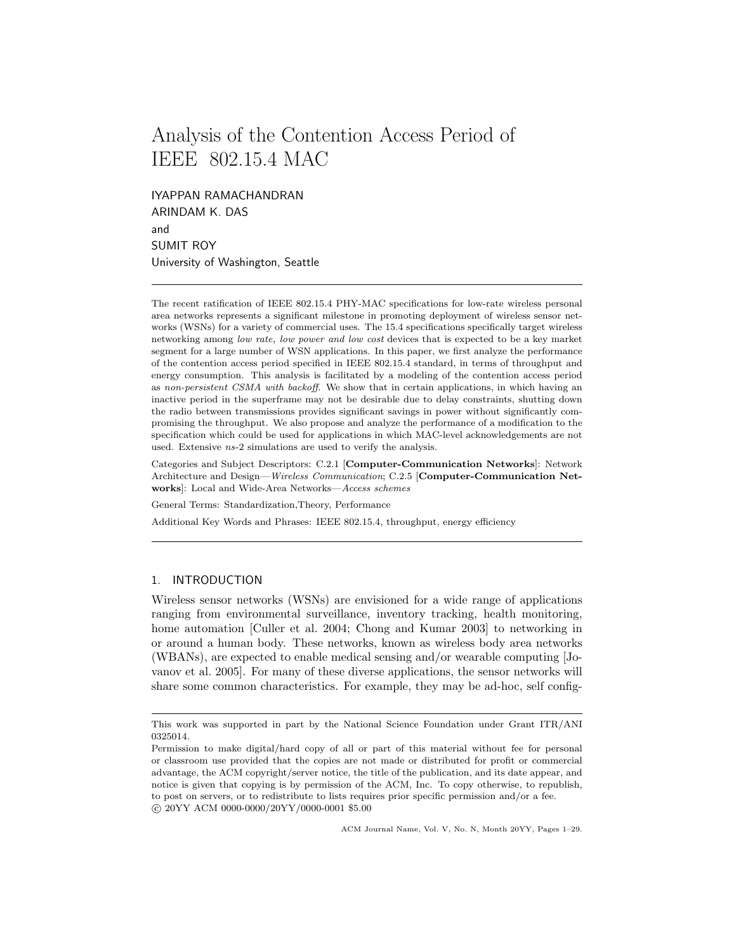# Analysis of the Contention Access Period of IEEE 802.15.4 MAC

IYAPPAN RAMACHANDRAN ARINDAM K. DAS and SUMIT ROY

University of Washington, Seattle

The recent ratification of IEEE 802.15.4 PHY-MAC specifications for low-rate wireless personal area networks represents a significant milestone in promoting deployment of wireless sensor networks (WSNs) for a variety of commercial uses. The 15.4 specifications specifically target wireless networking among low rate, low power and low cost devices that is expected to be a key market segment for a large number of WSN applications. In this paper, we first analyze the performance of the contention access period specified in IEEE 802.15.4 standard, in terms of throughput and energy consumption. This analysis is facilitated by a modeling of the contention access period as non-persistent CSMA with backoff. We show that in certain applications, in which having an inactive period in the superframe may not be desirable due to delay constraints, shutting down the radio between transmissions provides significant savings in power without significantly compromising the throughput. We also propose and analyze the performance of a modification to the specification which could be used for applications in which MAC-level acknowledgements are not used. Extensive ns-2 simulations are used to verify the analysis.

Categories and Subject Descriptors: C.2.1 [Computer-Communication Networks]: Network Architecture and Design—Wireless Communication; C.2.5 [Computer-Communication Networks]: Local and Wide-Area Networks—Access schemes

General Terms: Standardization,Theory, Performance

Additional Key Words and Phrases: IEEE 802.15.4, throughput, energy efficiency

## 1. INTRODUCTION

Wireless sensor networks (WSNs) are envisioned for a wide range of applications ranging from environmental surveillance, inventory tracking, health monitoring, home automation [Culler et al. 2004; Chong and Kumar 2003] to networking in or around a human body. These networks, known as wireless body area networks (WBANs), are expected to enable medical sensing and/or wearable computing [Jovanov et al. 2005]. For many of these diverse applications, the sensor networks will share some common characteristics. For example, they may be ad-hoc, self config-

ACM Journal Name, Vol. V, No. N, Month 20YY, Pages 1–29.

This work was supported in part by the National Science Foundation under Grant ITR/ANI 0325014.

Permission to make digital/hard copy of all or part of this material without fee for personal or classroom use provided that the copies are not made or distributed for profit or commercial advantage, the ACM copyright/server notice, the title of the publication, and its date appear, and notice is given that copying is by permission of the ACM, Inc. To copy otherwise, to republish, to post on servers, or to redistribute to lists requires prior specific permission and/or a fee. c 20YY ACM 0000-0000/20YY/0000-0001 \$5.00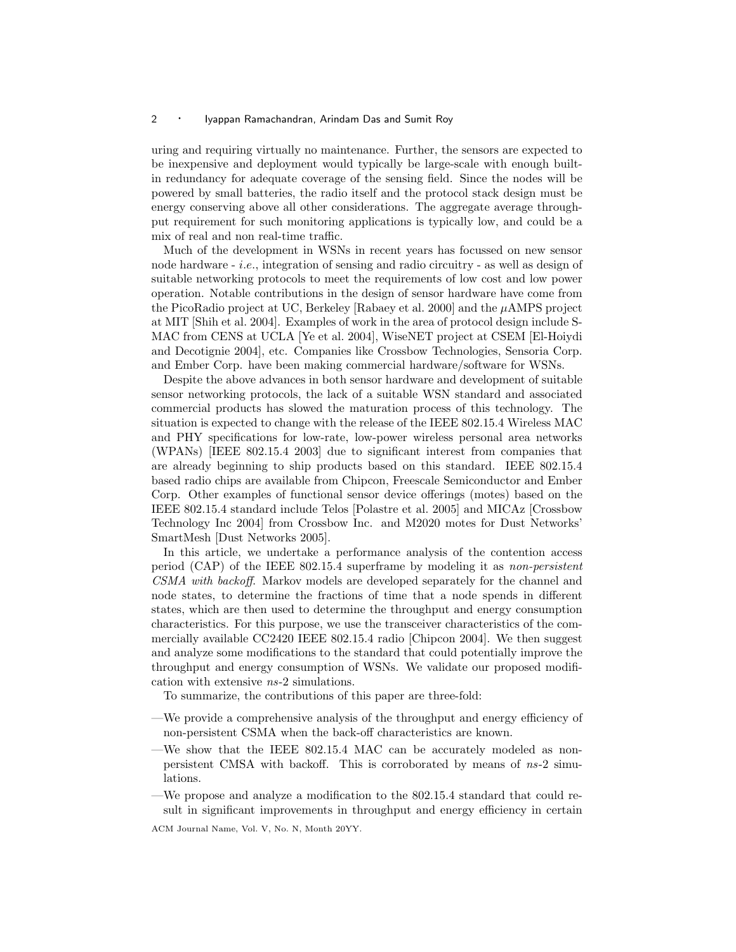### <sup>2</sup> · Iyappan Ramachandran, Arindam Das and Sumit Roy

uring and requiring virtually no maintenance. Further, the sensors are expected to be inexpensive and deployment would typically be large-scale with enough builtin redundancy for adequate coverage of the sensing field. Since the nodes will be powered by small batteries, the radio itself and the protocol stack design must be energy conserving above all other considerations. The aggregate average throughput requirement for such monitoring applications is typically low, and could be a mix of real and non real-time traffic.

Much of the development in WSNs in recent years has focussed on new sensor node hardware - i.e., integration of sensing and radio circuitry - as well as design of suitable networking protocols to meet the requirements of low cost and low power operation. Notable contributions in the design of sensor hardware have come from the PicoRadio project at UC, Berkeley [Rabaey et al. 2000] and the  $\mu$ AMPS project at MIT [Shih et al. 2004]. Examples of work in the area of protocol design include S-MAC from CENS at UCLA [Ye et al. 2004], WiseNET project at CSEM [El-Hoiydi and Decotignie 2004], etc. Companies like Crossbow Technologies, Sensoria Corp. and Ember Corp. have been making commercial hardware/software for WSNs.

Despite the above advances in both sensor hardware and development of suitable sensor networking protocols, the lack of a suitable WSN standard and associated commercial products has slowed the maturation process of this technology. The situation is expected to change with the release of the IEEE 802.15.4 Wireless MAC and PHY specifications for low-rate, low-power wireless personal area networks (WPANs) [IEEE 802.15.4 2003] due to significant interest from companies that are already beginning to ship products based on this standard. IEEE 802.15.4 based radio chips are available from Chipcon, Freescale Semiconductor and Ember Corp. Other examples of functional sensor device offerings (motes) based on the IEEE 802.15.4 standard include Telos [Polastre et al. 2005] and MICAz [Crossbow Technology Inc 2004] from Crossbow Inc. and M2020 motes for Dust Networks' SmartMesh [Dust Networks 2005].

In this article, we undertake a performance analysis of the contention access period (CAP) of the IEEE 802.15.4 superframe by modeling it as non-persistent CSMA with backoff. Markov models are developed separately for the channel and node states, to determine the fractions of time that a node spends in different states, which are then used to determine the throughput and energy consumption characteristics. For this purpose, we use the transceiver characteristics of the commercially available CC2420 IEEE 802.15.4 radio [Chipcon 2004]. We then suggest and analyze some modifications to the standard that could potentially improve the throughput and energy consumption of WSNs. We validate our proposed modification with extensive ns-2 simulations.

To summarize, the contributions of this paper are three-fold:

- —We provide a comprehensive analysis of the throughput and energy efficiency of non-persistent CSMA when the back-off characteristics are known.
- —We show that the IEEE 802.15.4 MAC can be accurately modeled as nonpersistent CMSA with backoff. This is corroborated by means of ns-2 simulations.
- —We propose and analyze a modification to the 802.15.4 standard that could result in significant improvements in throughput and energy efficiency in certain

ACM Journal Name, Vol. V, No. N, Month 20YY.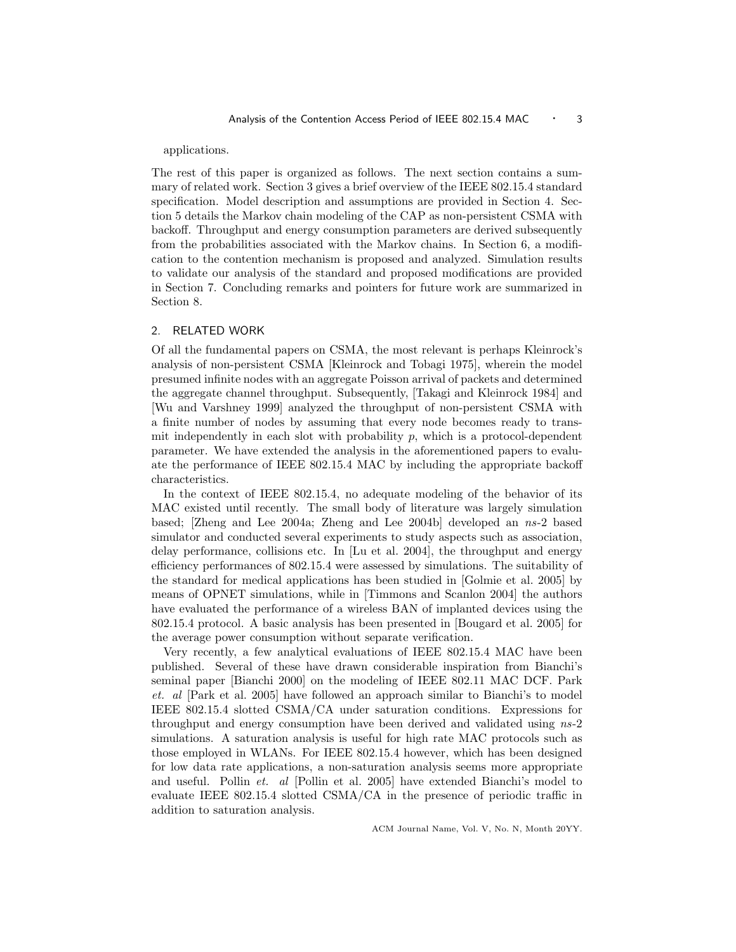applications.

The rest of this paper is organized as follows. The next section contains a summary of related work. Section 3 gives a brief overview of the IEEE 802.15.4 standard specification. Model description and assumptions are provided in Section 4. Section 5 details the Markov chain modeling of the CAP as non-persistent CSMA with backoff. Throughput and energy consumption parameters are derived subsequently from the probabilities associated with the Markov chains. In Section 6, a modification to the contention mechanism is proposed and analyzed. Simulation results to validate our analysis of the standard and proposed modifications are provided in Section 7. Concluding remarks and pointers for future work are summarized in Section 8.

# 2. RELATED WORK

Of all the fundamental papers on CSMA, the most relevant is perhaps Kleinrock's analysis of non-persistent CSMA [Kleinrock and Tobagi 1975], wherein the model presumed infinite nodes with an aggregate Poisson arrival of packets and determined the aggregate channel throughput. Subsequently, [Takagi and Kleinrock 1984] and [Wu and Varshney 1999] analyzed the throughput of non-persistent CSMA with a finite number of nodes by assuming that every node becomes ready to transmit independently in each slot with probability  $p$ , which is a protocol-dependent parameter. We have extended the analysis in the aforementioned papers to evaluate the performance of IEEE 802.15.4 MAC by including the appropriate backoff characteristics.

In the context of IEEE 802.15.4, no adequate modeling of the behavior of its MAC existed until recently. The small body of literature was largely simulation based; [Zheng and Lee 2004a; Zheng and Lee 2004b] developed an ns-2 based simulator and conducted several experiments to study aspects such as association, delay performance, collisions etc. In [Lu et al. 2004], the throughput and energy efficiency performances of 802.15.4 were assessed by simulations. The suitability of the standard for medical applications has been studied in [Golmie et al. 2005] by means of OPNET simulations, while in [Timmons and Scanlon 2004] the authors have evaluated the performance of a wireless BAN of implanted devices using the 802.15.4 protocol. A basic analysis has been presented in [Bougard et al. 2005] for the average power consumption without separate verification.

Very recently, a few analytical evaluations of IEEE 802.15.4 MAC have been published. Several of these have drawn considerable inspiration from Bianchi's seminal paper [Bianchi 2000] on the modeling of IEEE 802.11 MAC DCF. Park et. al [Park et al. 2005] have followed an approach similar to Bianchi's to model IEEE 802.15.4 slotted CSMA/CA under saturation conditions. Expressions for throughput and energy consumption have been derived and validated using ns-2 simulations. A saturation analysis is useful for high rate MAC protocols such as those employed in WLANs. For IEEE 802.15.4 however, which has been designed for low data rate applications, a non-saturation analysis seems more appropriate and useful. Pollin et. al [Pollin et al. 2005] have extended Bianchi's model to evaluate IEEE 802.15.4 slotted CSMA/CA in the presence of periodic traffic in addition to saturation analysis.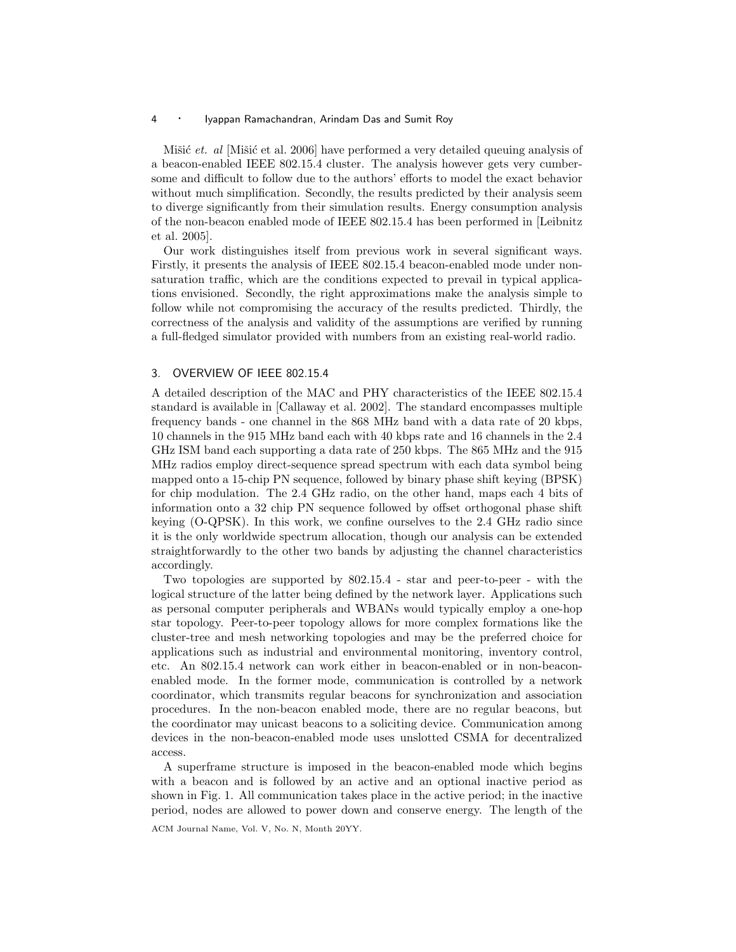### <sup>4</sup> · Iyappan Ramachandran, Arindam Das and Sumit Roy

Mišić *et. al* [Mišić et al. 2006] have performed a very detailed queuing analysis of a beacon-enabled IEEE 802.15.4 cluster. The analysis however gets very cumbersome and difficult to follow due to the authors' efforts to model the exact behavior without much simplification. Secondly, the results predicted by their analysis seem to diverge significantly from their simulation results. Energy consumption analysis of the non-beacon enabled mode of IEEE 802.15.4 has been performed in [Leibnitz et al. 2005].

Our work distinguishes itself from previous work in several significant ways. Firstly, it presents the analysis of IEEE 802.15.4 beacon-enabled mode under nonsaturation traffic, which are the conditions expected to prevail in typical applications envisioned. Secondly, the right approximations make the analysis simple to follow while not compromising the accuracy of the results predicted. Thirdly, the correctness of the analysis and validity of the assumptions are verified by running a full-fledged simulator provided with numbers from an existing real-world radio.

# 3. OVERVIEW OF IEEE 802.15.4

A detailed description of the MAC and PHY characteristics of the IEEE 802.15.4 standard is available in [Callaway et al. 2002]. The standard encompasses multiple frequency bands - one channel in the 868 MHz band with a data rate of 20 kbps, 10 channels in the 915 MHz band each with 40 kbps rate and 16 channels in the 2.4 GHz ISM band each supporting a data rate of 250 kbps. The 865 MHz and the 915 MHz radios employ direct-sequence spread spectrum with each data symbol being mapped onto a 15-chip PN sequence, followed by binary phase shift keying (BPSK) for chip modulation. The 2.4 GHz radio, on the other hand, maps each 4 bits of information onto a 32 chip PN sequence followed by offset orthogonal phase shift keying (O-QPSK). In this work, we confine ourselves to the 2.4 GHz radio since it is the only worldwide spectrum allocation, though our analysis can be extended straightforwardly to the other two bands by adjusting the channel characteristics accordingly.

Two topologies are supported by 802.15.4 - star and peer-to-peer - with the logical structure of the latter being defined by the network layer. Applications such as personal computer peripherals and WBANs would typically employ a one-hop star topology. Peer-to-peer topology allows for more complex formations like the cluster-tree and mesh networking topologies and may be the preferred choice for applications such as industrial and environmental monitoring, inventory control, etc. An 802.15.4 network can work either in beacon-enabled or in non-beaconenabled mode. In the former mode, communication is controlled by a network coordinator, which transmits regular beacons for synchronization and association procedures. In the non-beacon enabled mode, there are no regular beacons, but the coordinator may unicast beacons to a soliciting device. Communication among devices in the non-beacon-enabled mode uses unslotted CSMA for decentralized access.

A superframe structure is imposed in the beacon-enabled mode which begins with a beacon and is followed by an active and an optional inactive period as shown in Fig. 1. All communication takes place in the active period; in the inactive period, nodes are allowed to power down and conserve energy. The length of the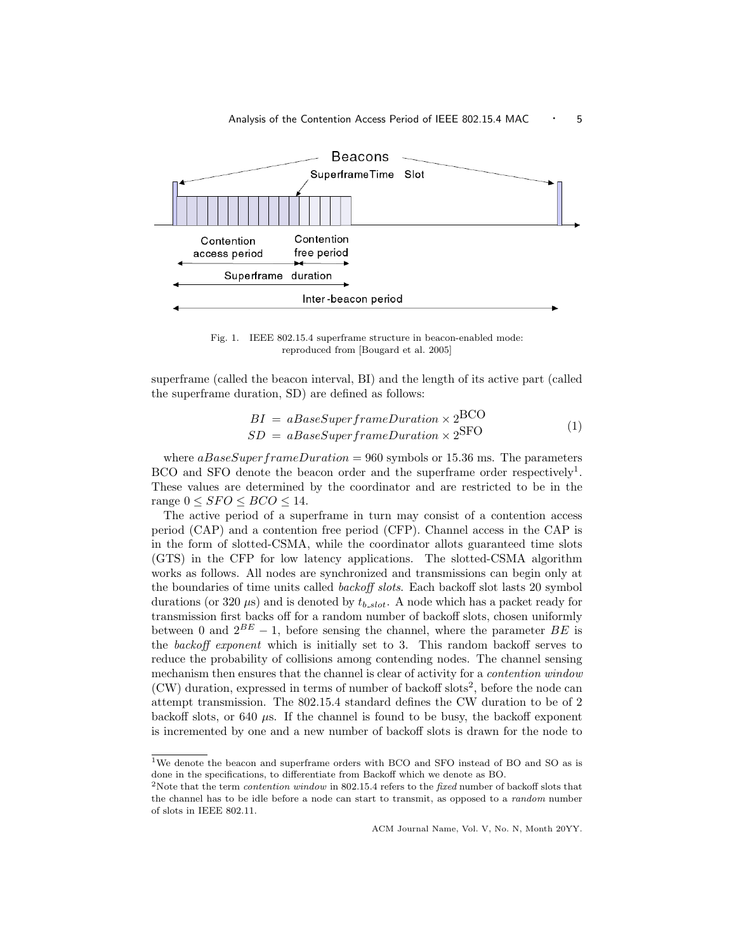

Fig. 1. IEEE 802.15.4 superframe structure in beacon-enabled mode: reproduced from [Bougard et al. 2005]

superframe (called the beacon interval, BI) and the length of its active part (called the superframe duration, SD) are defined as follows:

$$
BI = aBaseSuperframeDuration \times 2^{BCO}
$$
  
\n
$$
SD = aBaseSuperframeDuration \times 2^{SFO}
$$
 (1)

where aBaseSuperframeDuration = 960 symbols or 15.36 ms. The parameters BCO and SFO denote the beacon order and the superframe order respectively<sup>1</sup>. These values are determined by the coordinator and are restricted to be in the range  $0 \leq SFO \leq BCO \leq 14$ .

The active period of a superframe in turn may consist of a contention access period (CAP) and a contention free period (CFP). Channel access in the CAP is in the form of slotted-CSMA, while the coordinator allots guaranteed time slots (GTS) in the CFP for low latency applications. The slotted-CSMA algorithm works as follows. All nodes are synchronized and transmissions can begin only at the boundaries of time units called *backoff slots*. Each backoff slot lasts 20 symbol durations (or 320  $\mu$ s) and is denoted by  $t_{b, slot}$ . A node which has a packet ready for transmission first backs off for a random number of backoff slots, chosen uniformly between 0 and  $2^{BE} - 1$ , before sensing the channel, where the parameter BE is the backoff exponent which is initially set to 3. This random backoff serves to reduce the probability of collisions among contending nodes. The channel sensing mechanism then ensures that the channel is clear of activity for a contention window (CW) duration, expressed in terms of number of backoff slots<sup>2</sup>, before the node can attempt transmission. The 802.15.4 standard defines the CW duration to be of 2 backoff slots, or 640  $\mu$ s. If the channel is found to be busy, the backoff exponent is incremented by one and a new number of backoff slots is drawn for the node to

<sup>1</sup>We denote the beacon and superframe orders with BCO and SFO instead of BO and SO as is done in the specifications, to differentiate from Backoff which we denote as BO.

<sup>&</sup>lt;sup>2</sup>Note that the term *contention window* in 802.15.4 refers to the *fixed* number of backoff slots that the channel has to be idle before a node can start to transmit, as opposed to a random number of slots in IEEE 802.11.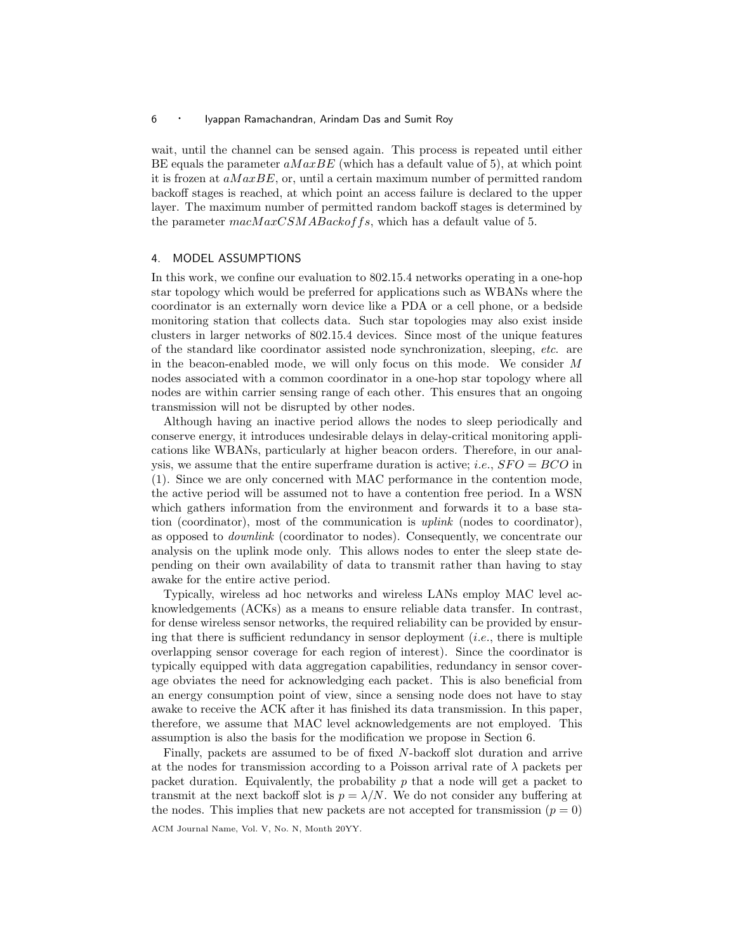#### <sup>6</sup> · Iyappan Ramachandran, Arindam Das and Sumit Roy

wait, until the channel can be sensed again. This process is repeated until either BE equals the parameter  $aMaxBE$  (which has a default value of 5), at which point it is frozen at  $aMaxBE$ , or, until a certain maximum number of permitted random backoff stages is reached, at which point an access failure is declared to the upper layer. The maximum number of permitted random backoff stages is determined by the parameter  $macMaxCSMABackoffs$ , which has a default value of 5.

#### 4. MODEL ASSUMPTIONS

In this work, we confine our evaluation to 802.15.4 networks operating in a one-hop star topology which would be preferred for applications such as WBANs where the coordinator is an externally worn device like a PDA or a cell phone, or a bedside monitoring station that collects data. Such star topologies may also exist inside clusters in larger networks of 802.15.4 devices. Since most of the unique features of the standard like coordinator assisted node synchronization, sleeping, etc. are in the beacon-enabled mode, we will only focus on this mode. We consider M nodes associated with a common coordinator in a one-hop star topology where all nodes are within carrier sensing range of each other. This ensures that an ongoing transmission will not be disrupted by other nodes.

Although having an inactive period allows the nodes to sleep periodically and conserve energy, it introduces undesirable delays in delay-critical monitoring applications like WBANs, particularly at higher beacon orders. Therefore, in our analysis, we assume that the entire superframe duration is active; *i.e.*,  $SFO = BCO$  in (1). Since we are only concerned with MAC performance in the contention mode, the active period will be assumed not to have a contention free period. In a WSN which gathers information from the environment and forwards it to a base station (coordinator), most of the communication is uplink (nodes to coordinator), as opposed to downlink (coordinator to nodes). Consequently, we concentrate our analysis on the uplink mode only. This allows nodes to enter the sleep state depending on their own availability of data to transmit rather than having to stay awake for the entire active period.

Typically, wireless ad hoc networks and wireless LANs employ MAC level acknowledgements (ACKs) as a means to ensure reliable data transfer. In contrast, for dense wireless sensor networks, the required reliability can be provided by ensuring that there is sufficient redundancy in sensor deployment  $(i.e.,$  there is multiple overlapping sensor coverage for each region of interest). Since the coordinator is typically equipped with data aggregation capabilities, redundancy in sensor coverage obviates the need for acknowledging each packet. This is also beneficial from an energy consumption point of view, since a sensing node does not have to stay awake to receive the ACK after it has finished its data transmission. In this paper, therefore, we assume that MAC level acknowledgements are not employed. This assumption is also the basis for the modification we propose in Section 6.

Finally, packets are assumed to be of fixed N-backoff slot duration and arrive at the nodes for transmission according to a Poisson arrival rate of  $\lambda$  packets per packet duration. Equivalently, the probability  $p$  that a node will get a packet to transmit at the next backoff slot is  $p = \lambda/N$ . We do not consider any buffering at the nodes. This implies that new packets are not accepted for transmission  $(p = 0)$ ACM Journal Name, Vol. V, No. N, Month 20YY.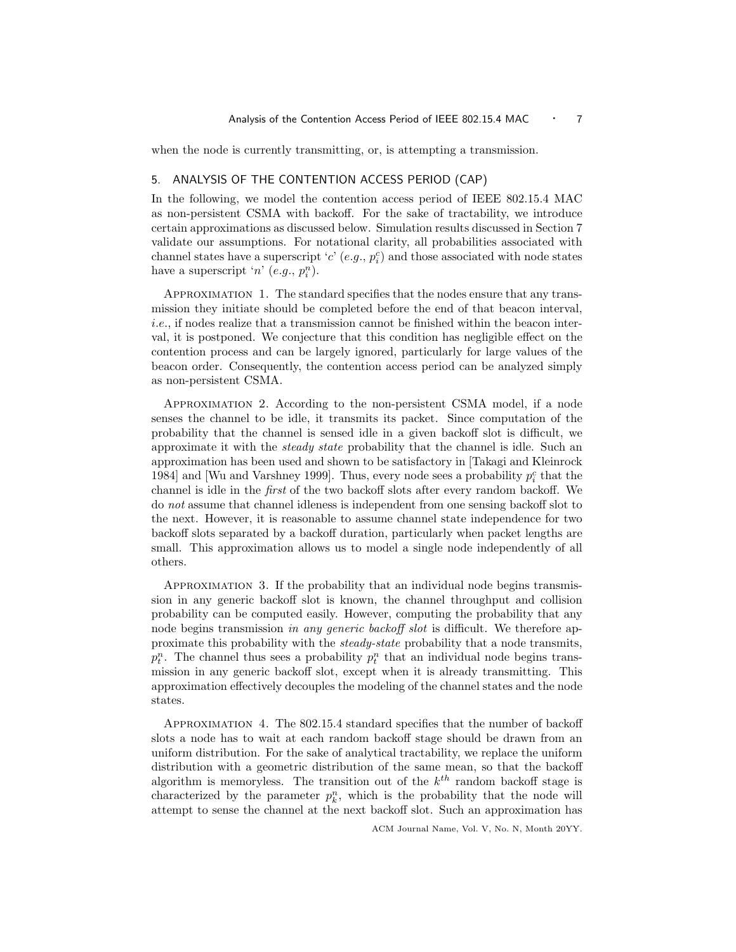when the node is currently transmitting, or, is attempting a transmission.

## 5. ANALYSIS OF THE CONTENTION ACCESS PERIOD (CAP)

In the following, we model the contention access period of IEEE 802.15.4 MAC as non-persistent CSMA with backoff. For the sake of tractability, we introduce certain approximations as discussed below. Simulation results discussed in Section 7 validate our assumptions. For notational clarity, all probabilities associated with channel states have a superscript 'c'  $(e.g., p_i^c)$  and those associated with node states have a superscript 'n'  $(e.g., p_i^n)$ .

Approximation 1. The standard specifies that the nodes ensure that any transmission they initiate should be completed before the end of that beacon interval, i.e., if nodes realize that a transmission cannot be finished within the beacon interval, it is postponed. We conjecture that this condition has negligible effect on the contention process and can be largely ignored, particularly for large values of the beacon order. Consequently, the contention access period can be analyzed simply as non-persistent CSMA.

Approximation 2. According to the non-persistent CSMA model, if a node senses the channel to be idle, it transmits its packet. Since computation of the probability that the channel is sensed idle in a given backoff slot is difficult, we approximate it with the steady state probability that the channel is idle. Such an approximation has been used and shown to be satisfactory in [Takagi and Kleinrock 1984] and [Wu and Varshney 1999]. Thus, every node sees a probability  $p_i^c$  that the channel is idle in the first of the two backoff slots after every random backoff. We do not assume that channel idleness is independent from one sensing backoff slot to the next. However, it is reasonable to assume channel state independence for two backoff slots separated by a backoff duration, particularly when packet lengths are small. This approximation allows us to model a single node independently of all others.

Approximation 3. If the probability that an individual node begins transmission in any generic backoff slot is known, the channel throughput and collision probability can be computed easily. However, computing the probability that any node begins transmission in any generic backoff slot is difficult. We therefore approximate this probability with the steady-state probability that a node transmits,  $p_t^n$ . The channel thus sees a probability  $p_t^n$  that an individual node begins transmission in any generic backoff slot, except when it is already transmitting. This approximation effectively decouples the modeling of the channel states and the node states.

Approximation 4. The 802.15.4 standard specifies that the number of backoff slots a node has to wait at each random backoff stage should be drawn from an uniform distribution. For the sake of analytical tractability, we replace the uniform distribution with a geometric distribution of the same mean, so that the backoff algorithm is memoryless. The transition out of the  $k^{th}$  random backoff stage is characterized by the parameter  $p_k^n$ , which is the probability that the node will attempt to sense the channel at the next backoff slot. Such an approximation has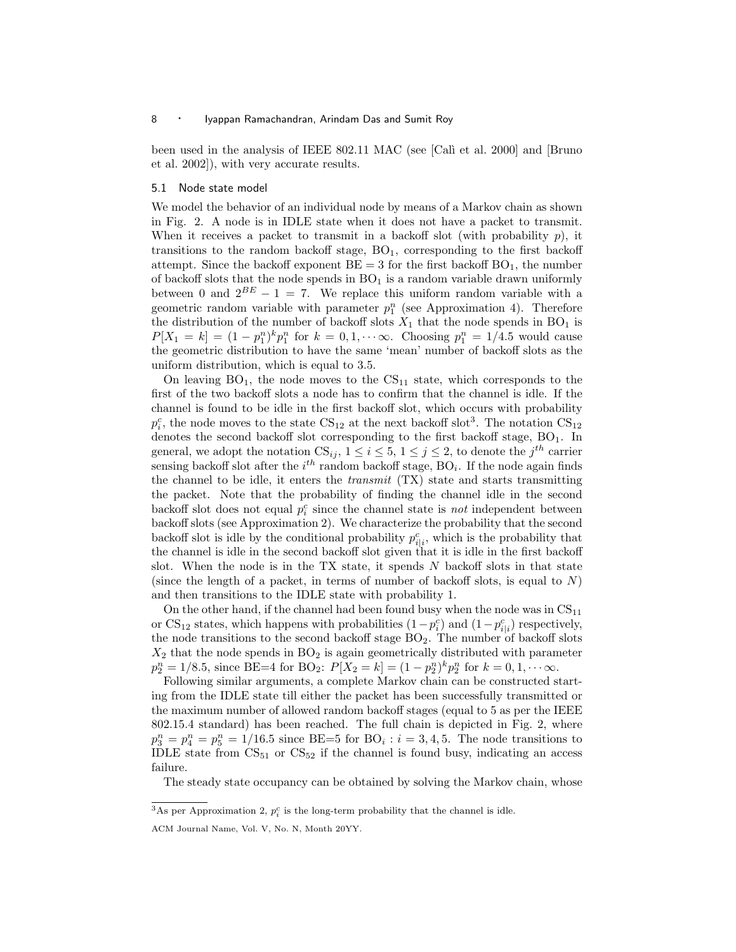been used in the analysis of IEEE 802.11 MAC (see [Calì et al. 2000] and [Bruno et al. 2002]), with very accurate results.

# 5.1 Node state model

We model the behavior of an individual node by means of a Markov chain as shown in Fig. 2. A node is in IDLE state when it does not have a packet to transmit. When it receives a packet to transmit in a backoff slot (with probability  $p$ ), it transitions to the random backoff stage,  $BO<sub>1</sub>$ , corresponding to the first backoff attempt. Since the backoff exponent  $BE = 3$  for the first backoff  $BO<sub>1</sub>$ , the number of backoff slots that the node spends in  $BO<sub>1</sub>$  is a random variable drawn uniformly between 0 and  $2^{BE} - 1 = 7$ . We replace this uniform random variable with a geometric random variable with parameter  $p_1^n$  (see Approximation 4). Therefore the distribution of the number of backoff slots  $X_1$  that the node spends in BO<sub>1</sub> is  $P[X_1 = k] = (1 - p_1^n)^k p_1^n$  for  $k = 0, 1, \dots \infty$ . Choosing  $p_1^n = 1/4.5$  would cause the geometric distribution to have the same 'mean' number of backoff slots as the uniform distribution, which is equal to 3.5.

On leaving  $BO<sub>1</sub>$ , the node moves to the  $CS<sub>11</sub>$  state, which corresponds to the first of the two backoff slots a node has to confirm that the channel is idle. If the channel is found to be idle in the first backoff slot, which occurs with probability  $p_i^c$ , the node moves to the state  $\text{CS}_{12}$  at the next backoff slot<sup>3</sup>. The notation  $\text{CS}_{12}$ denotes the second backoff slot corresponding to the first backoff stage,  $BO<sub>1</sub>$ . In general, we adopt the notation  $\text{CS}_{ij}$ ,  $1 \leq i \leq 5$ ,  $1 \leq j \leq 2$ , to denote the  $j^{th}$  carrier sensing backoff slot after the  $i^{th}$  random backoff stage, BO<sub>i</sub>. If the node again finds the channel to be idle, it enters the transmit (TX) state and starts transmitting the packet. Note that the probability of finding the channel idle in the second backoff slot does not equal  $p_i^c$  since the channel state is *not* independent between backoff slots (see Approximation 2). We characterize the probability that the second backoff slot is idle by the conditional probability  $p_{i|i}^c$ , which is the probability that the channel is idle in the second backoff slot given that it is idle in the first backoff slot. When the node is in the TX state, it spends  $N$  backoff slots in that state (since the length of a packet, in terms of number of backoff slots, is equal to  $N$ ) and then transitions to the IDLE state with probability 1.

On the other hand, if the channel had been found busy when the node was in  $CS_{11}$ or CS<sub>12</sub> states, which happens with probabilities  $(1-p_i^c)$  and  $(1-p_{i|i}^c)$  respectively, the node transitions to the second backoff stage  $BO<sub>2</sub>$ . The number of backoff slots  $X_2$  that the node spends in  $BO_2$  is again geometrically distributed with parameter  $p_2^n = 1/8.5$ , since BE=4 for BO<sub>2</sub>:  $P[X_2 = k] = (1 - p_2^n)^k p_2^n$  for  $k = 0, 1, \dots \infty$ .

Following similar arguments, a complete Markov chain can be constructed starting from the IDLE state till either the packet has been successfully transmitted or the maximum number of allowed random backoff stages (equal to 5 as per the IEEE 802.15.4 standard) has been reached. The full chain is depicted in Fig. 2, where  $p_3^n = p_4^n = p_5^n = 1/16.5$  since BE=5 for BO<sub>i</sub>:  $i = 3, 4, 5$ . The node transitions to IDLE state from  $CS_{51}$  or  $CS_{52}$  if the channel is found busy, indicating an access failure.

The steady state occupancy can be obtained by solving the Markov chain, whose

<sup>&</sup>lt;sup>3</sup>As per Approximation 2,  $p_i^c$  is the long-term probability that the channel is idle.

ACM Journal Name, Vol. V, No. N, Month 20YY.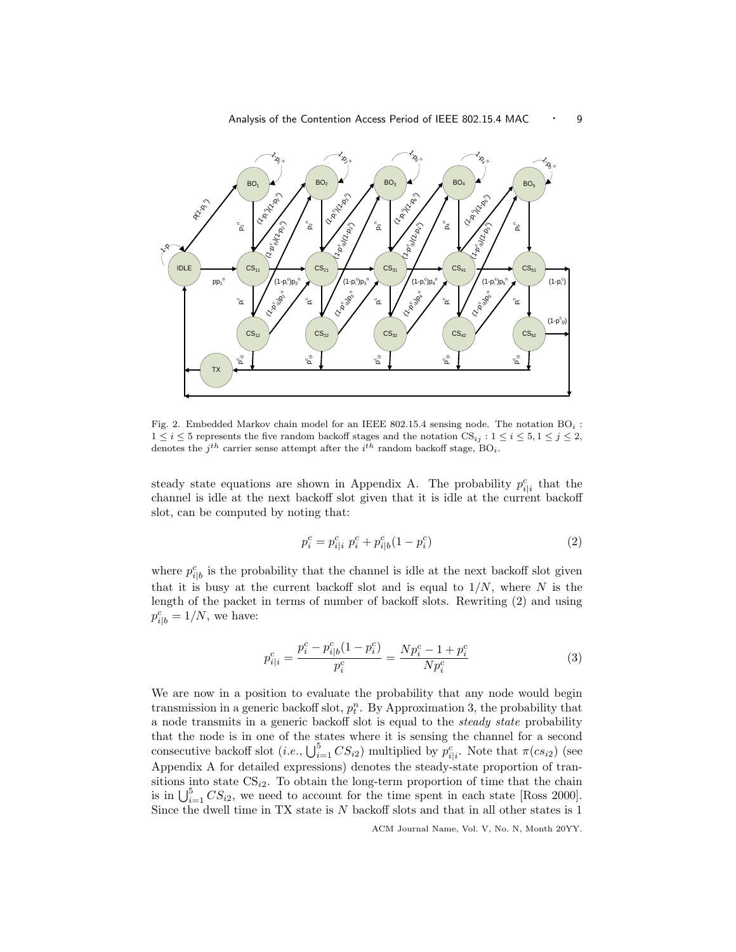

Fig. 2. Embedded Markov chain model for an IEEE 802.15.4 sensing node. The notation  $BO_i$ :  $1 \leq i \leq 5$  represents the five random backoff stages and the notation  $\text{CS}_{ij} : 1 \leq i \leq 5, 1 \leq j \leq 2$ , denotes the  $j^{th}$  carrier sense attempt after the  $i^{th}$  random backoff stage,  $BO_i$ .

steady state equations are shown in Appendix A. The probability  $p_{i|i}^c$  that the channel is idle at the next backoff slot given that it is idle at the current backoff slot, can be computed by noting that:

$$
p_i^c = p_{i|i}^c \ p_i^c + p_{i|b}^c (1 - p_i^c) \tag{2}
$$

where  $p_{i|b}^c$  is the probability that the channel is idle at the next backoff slot given that it is busy at the current backoff slot and is equal to  $1/N$ , where N is the length of the packet in terms of number of backoff slots. Rewriting (2) and using  $p_{i|b}^c = 1/N$ , we have:

$$
p_{i|i}^c = \frac{p_i^c - p_{i|b}^c (1 - p_i^c)}{p_i^c} = \frac{Np_i^c - 1 + p_i^c}{Np_i^c}
$$
 (3)

We are now in a position to evaluate the probability that any node would begin transmission in a generic backoff slot,  $p_t^n$ . By Approximation 3, the probability that a node transmits in a generic backoff slot is equal to the steady state probability that the node is in one of the states where it is sensing the channel for a second consecutive backoff slot  $(i.e., \bigcup_{i=1}^{5} CS_{i2})$  multiplied by  $p_{i|i}^c$ . Note that  $\pi(c_{i2})$  (see Appendix A for detailed expressions) denotes the steady-state proportion of transitions into state  $CS_{i2}$ . To obtain the long-term proportion of time that the chain is in  $\bigcup_{i=1}^{5} CS_{i2}$ , we need to account for the time spent in each state [Ross 2000]. Since the dwell time in TX state is  $N$  backoff slots and that in all other states is  $1$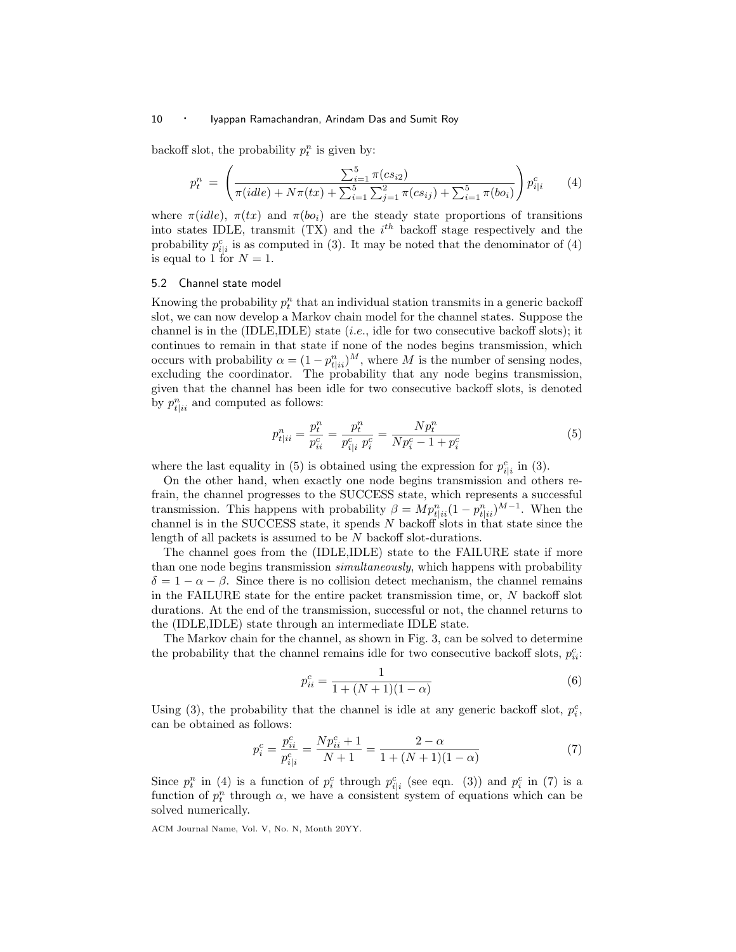#### 10 • Iyappan Ramachandran, Arindam Das and Sumit Roy

backoff slot, the probability  $p_t^n$  is given by:

$$
p_t^n = \left(\frac{\sum_{i=1}^5 \pi(c s_{i2})}{\pi(idle) + N\pi(tx) + \sum_{i=1}^5 \sum_{j=1}^2 \pi(c s_{ij}) + \sum_{i=1}^5 \pi(b o_i)}\right) p_{i|i}^c \qquad (4)
$$

where  $\pi(idle)$ ,  $\pi(tx)$  and  $\pi(bo_i)$  are the steady state proportions of transitions into states IDLE, transmit (TX) and the  $i^{th}$  backoff stage respectively and the probability  $p_{i|i}^c$  is as computed in (3). It may be noted that the denominator of (4) is equal to 1 for  $N = 1$ .

#### 5.2 Channel state model

Knowing the probability  $p_t^n$  that an individual station transmits in a generic backoff slot, we can now develop a Markov chain model for the channel states. Suppose the channel is in the (IDLE,IDLE) state  $(i.e.,$  idle for two consecutive backoff slots); it continues to remain in that state if none of the nodes begins transmission, which occurs with probability  $\alpha = (1 - p_{t|ii}^n)^M$ , where M is the number of sensing nodes, excluding the coordinator. The probability that any node begins transmission, given that the channel has been idle for two consecutive backoff slots, is denoted by  $p_{t|i i}^n$  and computed as follows:

$$
p_{t|ii}^n = \frac{p_t^n}{p_{ii}^c} = \frac{p_t^n}{p_{i|i}^c \ p_i^c} = \frac{Np_t^n}{Np_i^c - 1 + p_i^c}
$$
 (5)

where the last equality in (5) is obtained using the expression for  $p_{i|i}^c$  in (3).

On the other hand, when exactly one node begins transmission and others refrain, the channel progresses to the SUCCESS state, which represents a successful transmission. This happens with probability  $\beta = M p_{t|ii}^n (1 - p_{t|ii}^n)^{M-1}$ . When the channel is in the SUCCESS state, it spends  $N$  backoff slots in that state since the length of all packets is assumed to be N backoff slot-durations.

The channel goes from the (IDLE,IDLE) state to the FAILURE state if more than one node begins transmission *simultaneously*, which happens with probability  $\delta = 1 - \alpha - \beta$ . Since there is no collision detect mechanism, the channel remains in the FAILURE state for the entire packet transmission time, or, N backoff slot durations. At the end of the transmission, successful or not, the channel returns to the (IDLE,IDLE) state through an intermediate IDLE state.

The Markov chain for the channel, as shown in Fig. 3, can be solved to determine the probability that the channel remains idle for two consecutive backoff slots,  $p_{ii}^c$ :

$$
p_{ii}^c = \frac{1}{1 + (N+1)(1-\alpha)}
$$
(6)

Using (3), the probability that the channel is idle at any generic backoff slot,  $p_i^c$ , can be obtained as follows:

$$
p_i^c = \frac{p_{ii}^c}{p_{i|i}^c} = \frac{Np_{ii}^c + 1}{N+1} = \frac{2 - \alpha}{1 + (N+1)(1-\alpha)}
$$
(7)

Since  $p_t^n$  in (4) is a function of  $p_i^c$  through  $p_{i|i}^c$  (see eqn. (3)) and  $p_i^c$  in (7) is a function of  $p_t^n$  through  $\alpha$ , we have a consistent system of equations which can be solved numerically.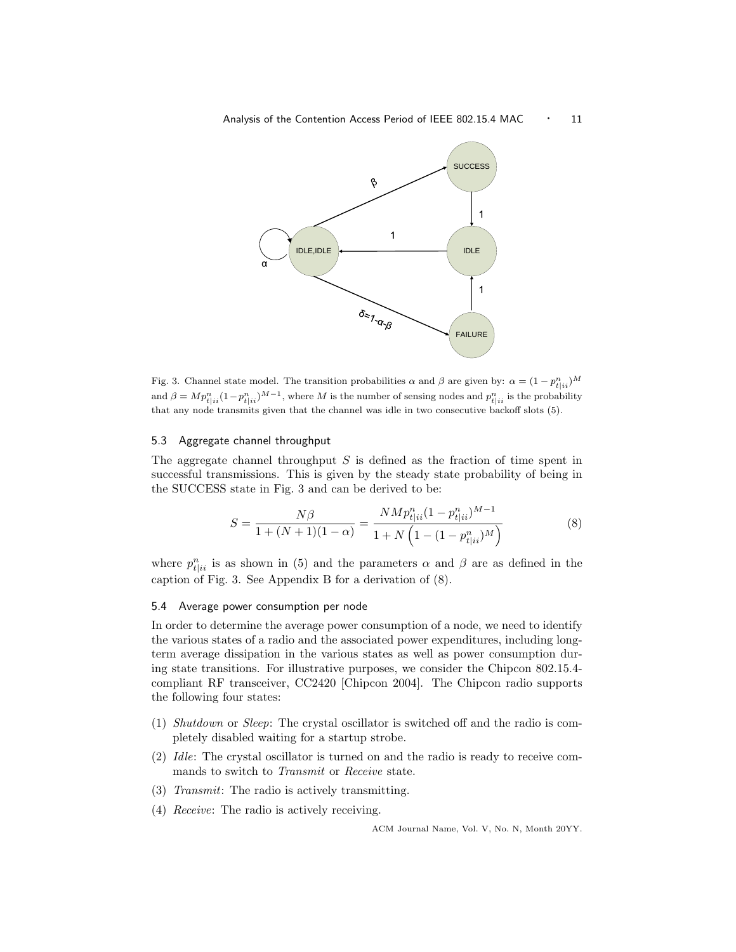

Fig. 3. Channel state model. The transition probabilities  $\alpha$  and  $\beta$  are given by:  $\alpha = (1 - p_{t|ii}^n)^M$ and  $\beta = M p_{t|ii}^n (1 - p_{t|ii}^n)^{M-1}$ , where M is the number of sensing nodes and  $p_{t|ii}^n$  is the probability that any node transmits given that the channel was idle in two consecutive backoff slots (5).

#### 5.3 Aggregate channel throughput

The aggregate channel throughput  $S$  is defined as the fraction of time spent in successful transmissions. This is given by the steady state probability of being in the SUCCESS state in Fig. 3 and can be derived to be:

$$
S = \frac{N\beta}{1 + (N+1)(1-\alpha)} = \frac{N M p_{t|ii}^n (1 - p_{t|ii}^n)^{M-1}}{1 + N \left(1 - (1 - p_{t|ii}^n)^M\right)}
$$
(8)

where  $p_{t|i i}^n$  is as shown in (5) and the parameters  $\alpha$  and  $\beta$  are as defined in the caption of Fig. 3. See Appendix B for a derivation of (8).

## 5.4 Average power consumption per node

In order to determine the average power consumption of a node, we need to identify the various states of a radio and the associated power expenditures, including longterm average dissipation in the various states as well as power consumption during state transitions. For illustrative purposes, we consider the Chipcon 802.15.4 compliant RF transceiver, CC2420 [Chipcon 2004]. The Chipcon radio supports the following four states:

- (1) Shutdown or Sleep: The crystal oscillator is switched off and the radio is completely disabled waiting for a startup strobe.
- (2) Idle: The crystal oscillator is turned on and the radio is ready to receive commands to switch to Transmit or Receive state.
- (3) Transmit: The radio is actively transmitting.
- (4) Receive: The radio is actively receiving.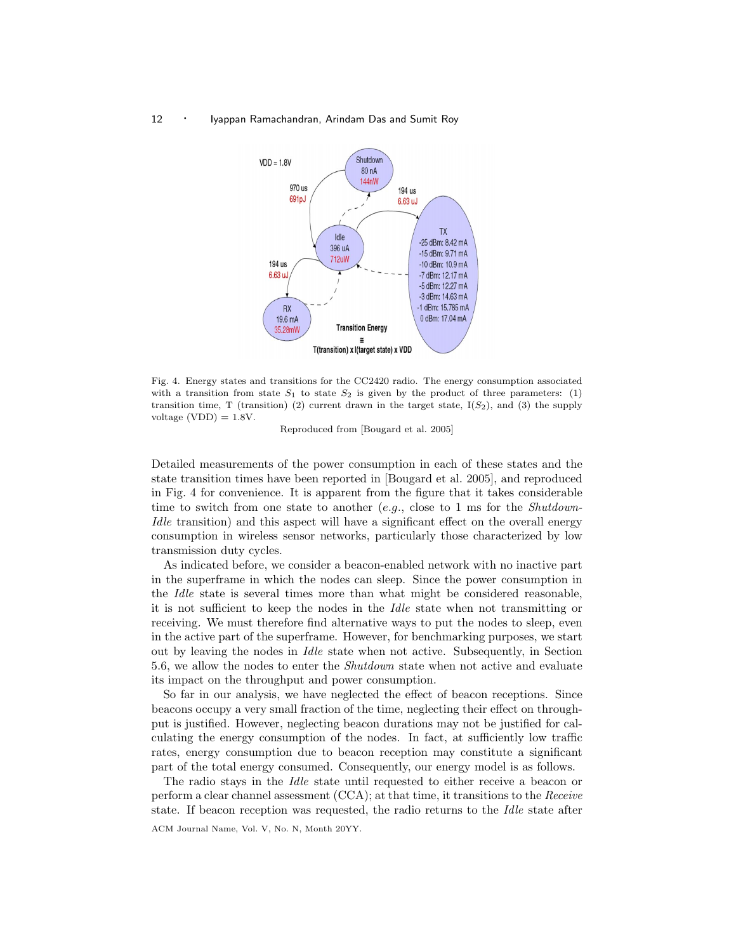#### 12 • Iyappan Ramachandran, Arindam Das and Sumit Roy



Fig. 4. Energy states and transitions for the CC2420 radio. The energy consumption associated with a transition from state  $S_1$  to state  $S_2$  is given by the product of three parameters: (1) transition time, T (transition) (2) current drawn in the target state,  $I(S_2)$ , and (3) the supply voltage  $(VDD) = 1.8V$ .

Reproduced from [Bougard et al. 2005]

Detailed measurements of the power consumption in each of these states and the state transition times have been reported in [Bougard et al. 2005], and reproduced in Fig. 4 for convenience. It is apparent from the figure that it takes considerable time to switch from one state to another  $(e,q)$ , close to 1 ms for the *Shutdown*-Idle transition) and this aspect will have a significant effect on the overall energy consumption in wireless sensor networks, particularly those characterized by low transmission duty cycles.

As indicated before, we consider a beacon-enabled network with no inactive part in the superframe in which the nodes can sleep. Since the power consumption in the Idle state is several times more than what might be considered reasonable, it is not sufficient to keep the nodes in the Idle state when not transmitting or receiving. We must therefore find alternative ways to put the nodes to sleep, even in the active part of the superframe. However, for benchmarking purposes, we start out by leaving the nodes in Idle state when not active. Subsequently, in Section 5.6, we allow the nodes to enter the Shutdown state when not active and evaluate its impact on the throughput and power consumption.

So far in our analysis, we have neglected the effect of beacon receptions. Since beacons occupy a very small fraction of the time, neglecting their effect on throughput is justified. However, neglecting beacon durations may not be justified for calculating the energy consumption of the nodes. In fact, at sufficiently low traffic rates, energy consumption due to beacon reception may constitute a significant part of the total energy consumed. Consequently, our energy model is as follows.

The radio stays in the *Idle* state until requested to either receive a beacon or perform a clear channel assessment (CCA); at that time, it transitions to the Receive state. If beacon reception was requested, the radio returns to the Idle state after ACM Journal Name, Vol. V, No. N, Month 20YY.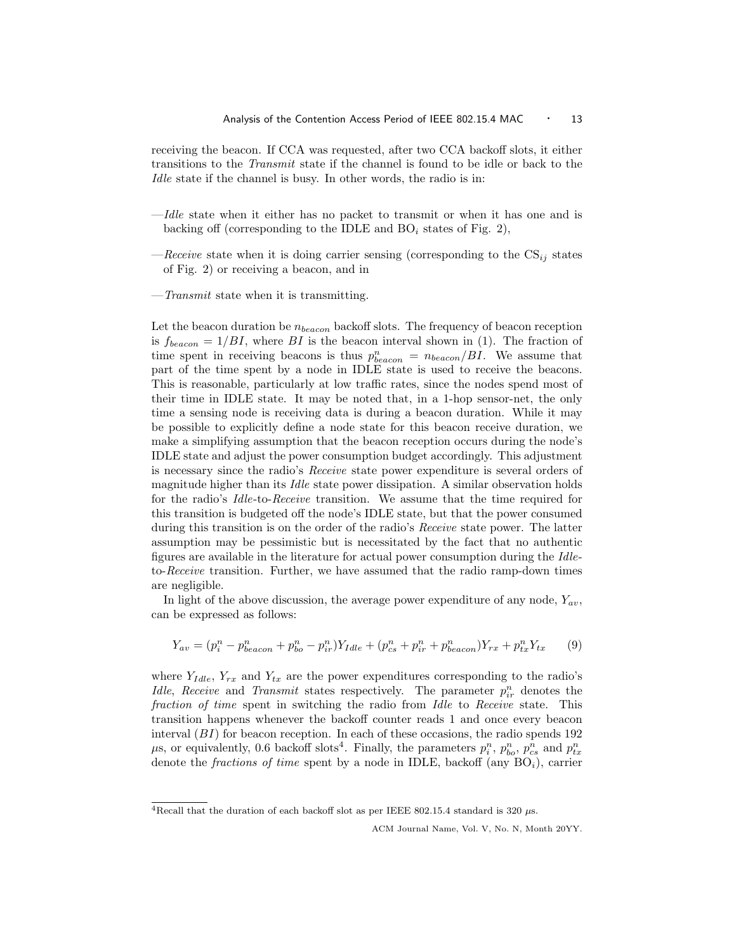receiving the beacon. If CCA was requested, after two CCA backoff slots, it either transitions to the Transmit state if the channel is found to be idle or back to the Idle state if the channel is busy. In other words, the radio is in:

- —Idle state when it either has no packet to transmit or when it has one and is backing off (corresponding to the IDLE and  $BO_i$  states of Fig. 2),
- —Receive state when it is doing carrier sensing (corresponding to the  $CS_{ij}$  states of Fig. 2) or receiving a beacon, and in
- —Transmit state when it is transmitting.

Let the beacon duration be  $n_{beacon}$  backoff slots. The frequency of beacon reception is  $f_{beacon} = 1/BI$ , where BI is the beacon interval shown in (1). The fraction of time spent in receiving beacons is thus  $p_{beacon}^n = n_{beacon}/BI$ . We assume that part of the time spent by a node in IDLE state is used to receive the beacons. This is reasonable, particularly at low traffic rates, since the nodes spend most of their time in IDLE state. It may be noted that, in a 1-hop sensor-net, the only time a sensing node is receiving data is during a beacon duration. While it may be possible to explicitly define a node state for this beacon receive duration, we make a simplifying assumption that the beacon reception occurs during the node's IDLE state and adjust the power consumption budget accordingly. This adjustment is necessary since the radio's Receive state power expenditure is several orders of magnitude higher than its Idle state power dissipation. A similar observation holds for the radio's *Idle-to-Receive* transition. We assume that the time required for this transition is budgeted off the node's IDLE state, but that the power consumed during this transition is on the order of the radio's Receive state power. The latter assumption may be pessimistic but is necessitated by the fact that no authentic figures are available in the literature for actual power consumption during the Idleto-Receive transition. Further, we have assumed that the radio ramp-down times are negligible.

In light of the above discussion, the average power expenditure of any node,  $Y_{av}$ , can be expressed as follows:

$$
Y_{av} = (p_i^n - p_{beacon}^n + p_{bo}^n - p_{ir}^n)Y_{Idle} + (p_{cs}^n + p_{ir}^n + p_{beacon}^n)Y_{rx} + p_{tx}^n Y_{tx}
$$
(9)

where  $Y_{Idle}$ ,  $Y_{rx}$  and  $Y_{tx}$  are the power expenditures corresponding to the radio's Idle, Receive and Transmit states respectively. The parameter  $p_{ir}^{n}$  denotes the fraction of time spent in switching the radio from Idle to Receive state. This transition happens whenever the backoff counter reads 1 and once every beacon interval  $(BI)$  for beacon reception. In each of these occasions, the radio spends 192  $\mu$ s, or equivalently, 0.6 backoff slots<sup>4</sup>. Finally, the parameters  $p_i^n$ ,  $p_{bo}^n$ ,  $p_{cs}^n$  and  $p_{tx}^n$ denote the *fractions of time* spent by a node in IDLE, backoff (any  $BO<sub>i</sub>$ ), carrier

<sup>&</sup>lt;sup>4</sup>Recall that the duration of each backoff slot as per IEEE 802.15.4 standard is 320  $\mu$ s.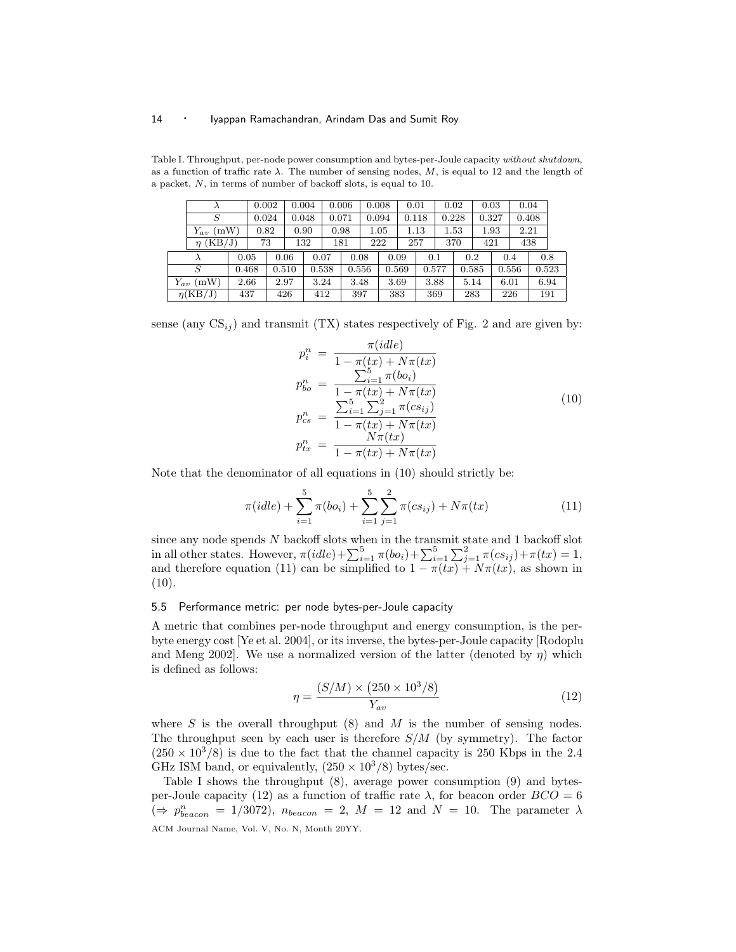Table I. Throughput, per-node power consumption and bytes-per-Joule capacity without shutdown, as a function of traffic rate  $\lambda$ . The number of sensing nodes, M, is equal to 12 and the length of a packet, N, in terms of number of backoff slots, is equal to 10.

|   |                     |  | 0.002 |      | 0.004 | 0.006 |       |       | 0.008 |       | 0.01  |       | 0.02  |       | 0.03  |       | 0.04  |       |     |  |
|---|---------------------|--|-------|------|-------|-------|-------|-------|-------|-------|-------|-------|-------|-------|-------|-------|-------|-------|-----|--|
|   | S                   |  | 0.024 |      | 0.048 |       | 0.071 |       | 0.094 |       | 0.118 |       | 0.228 |       | 0.327 |       | 0.408 |       |     |  |
|   | $Y_{av}$ (mW)       |  |       | 0.82 |       | 0.90  |       | 0.98  |       | 1.05  | 1.13  |       | 1.53  |       | 1.93  |       | 2.21  |       |     |  |
|   | $\eta$ (KB/J)       |  |       | 73   | 132   |       | 181   |       |       | 222   |       | 257   |       | 370   |       | 421   |       | 438   |     |  |
|   | 0.05                |  |       | 0.06 |       | 0.07  |       | 0.08  |       | 0.09  |       | 0.1   |       | 0.2   |       | 0.4   |       | 0.8   |     |  |
| S |                     |  | 0.468 |      | 0.510 | 0.538 |       | 0.556 |       | 0.569 |       | 0.577 |       | 0.585 |       | 0.556 |       | 0.523 |     |  |
|   | $Y_{av}$ (mW)       |  | 2.66  | 2.97 |       | 3.24  |       | 3.48  |       | 3.69  |       | 3.88  |       | 5.14  |       | 6.01  |       | 6.94  |     |  |
|   | $\eta(KB/J)$<br>437 |  |       | 426  |       | 412   |       | 397   |       | 383   |       | 369   |       |       | 283   |       | 226   |       | 191 |  |

sense (any  $CS_{ij}$ ) and transmit (TX) states respectively of Fig. 2 and are given by:

$$
p_i^n = \frac{\pi(ide)}{1 - \pi(tx) + N\pi(tx)}
$$
  
\n
$$
p_{bo}^n = \frac{\sum_{i=1}^5 \pi(bo_i)}{1 - \pi(tx) + N\pi(tx)}
$$
  
\n
$$
p_{cs}^n = \frac{\sum_{i=1}^5 \sum_{j=1}^2 \pi(c s_{ij})}{1 - \pi(tx) + N\pi(tx)}
$$
  
\n
$$
p_{tx}^n = \frac{N\pi(tx)}{1 - \pi(tx) + N\pi(tx)}
$$
\n(10)

Note that the denominator of all equations in (10) should strictly be:

$$
\pi(idle) + \sum_{i=1}^{5} \pi(bo_i) + \sum_{i=1}^{5} \sum_{j=1}^{2} \pi(c s_{ij}) + N\pi(tx)
$$
\n(11)

since any node spends  $N$  backoff slots when in the transmit state and 1 backoff slot in all other states. However,  $\pi(idle) + \sum_{i=1}^{5} \pi(bo_i) + \sum_{i=1}^{5} \sum_{j=1}^{2} \pi(c s_{ij}) + \pi(tx) = 1$ , and therefore equation (11) can be simplified to  $1 - \pi(tx) + N\pi(tx)$ , as shown in  $(10).$ 

#### 5.5 Performance metric: per node bytes-per-Joule capacity

A metric that combines per-node throughput and energy consumption, is the perbyte energy cost [Ye et al. 2004], or its inverse, the bytes-per-Joule capacity [Rodoplu and Meng 2002]. We use a normalized version of the latter (denoted by  $\eta$ ) which is defined as follows:

$$
\eta = \frac{(S/M) \times (250 \times 10^3/8)}{Y_{av}}
$$
\n(12)

where S is the overall throughput  $(8)$  and M is the number of sensing nodes. The throughput seen by each user is therefore  $S/M$  (by symmetry). The factor  $(250 \times 10^3/8)$  is due to the fact that the channel capacity is 250 Kbps in the 2.4 GHz ISM band, or equivalently,  $(250 \times 10^3/8)$  bytes/sec.

Table I shows the throughput (8), average power consumption (9) and bytesper-Joule capacity (12) as a function of traffic rate  $\lambda$ , for beacon order  $BCO = 6$  $(\Rightarrow p_{beacon}^n = 1/3072)$ ,  $n_{beacon} = 2$ ,  $M = 12$  and  $N = 10$ . The parameter  $\lambda$ ACM Journal Name, Vol. V, No. N, Month 20YY.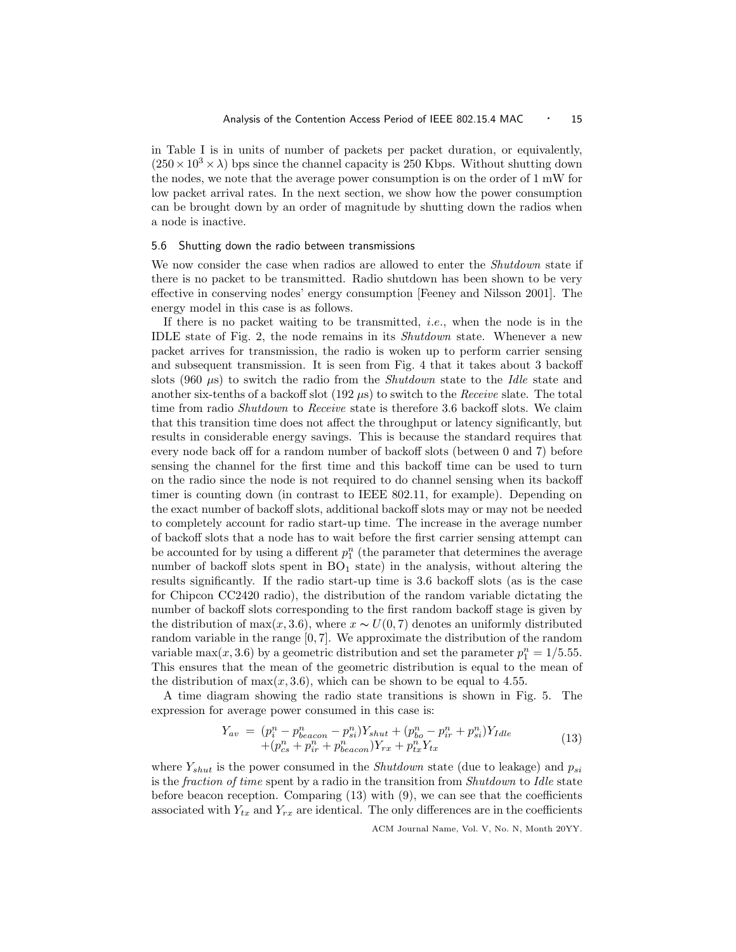in Table I is in units of number of packets per packet duration, or equivalently,  $(250 \times 10^3 \times \lambda)$  bps since the channel capacity is 250 Kbps. Without shutting down the nodes, we note that the average power consumption is on the order of 1 mW for low packet arrival rates. In the next section, we show how the power consumption can be brought down by an order of magnitude by shutting down the radios when a node is inactive.

#### 5.6 Shutting down the radio between transmissions

We now consider the case when radios are allowed to enter the *Shutdown* state if there is no packet to be transmitted. Radio shutdown has been shown to be very effective in conserving nodes' energy consumption [Feeney and Nilsson 2001]. The energy model in this case is as follows.

If there is no packet waiting to be transmitted, i.e., when the node is in the IDLE state of Fig. 2, the node remains in its Shutdown state. Whenever a new packet arrives for transmission, the radio is woken up to perform carrier sensing and subsequent transmission. It is seen from Fig. 4 that it takes about 3 backoff slots (960  $\mu$ s) to switch the radio from the *Shutdown* state to the *Idle* state and another six-tenths of a backoff slot  $(192 \,\mu s)$  to switch to the *Receive* slate. The total time from radio *Shutdown* to *Receive* state is therefore 3.6 backoff slots. We claim that this transition time does not affect the throughput or latency significantly, but results in considerable energy savings. This is because the standard requires that every node back off for a random number of backoff slots (between 0 and 7) before sensing the channel for the first time and this backoff time can be used to turn on the radio since the node is not required to do channel sensing when its backoff timer is counting down (in contrast to IEEE 802.11, for example). Depending on the exact number of backoff slots, additional backoff slots may or may not be needed to completely account for radio start-up time. The increase in the average number of backoff slots that a node has to wait before the first carrier sensing attempt can be accounted for by using a different  $p_1^n$  (the parameter that determines the average number of backoff slots spent in  $BO<sub>1</sub>$  state) in the analysis, without altering the results significantly. If the radio start-up time is 3.6 backoff slots (as is the case for Chipcon CC2420 radio), the distribution of the random variable dictating the number of backoff slots corresponding to the first random backoff stage is given by the distribution of max $(x, 3.6)$ , where  $x \sim U(0, 7)$  denotes an uniformly distributed random variable in the range [0, 7]. We approximate the distribution of the random variable max $(x, 3.6)$  by a geometric distribution and set the parameter  $p_1^n = 1/5.55$ . This ensures that the mean of the geometric distribution is equal to the mean of the distribution of  $max(x, 3.6)$ , which can be shown to be equal to 4.55.

A time diagram showing the radio state transitions is shown in Fig. 5. The expression for average power consumed in this case is:

$$
Y_{av} = (p_i^n - p_{beacon}^n - p_{si}^n) Y_{shut} + (p_{bo}^n - p_{ir}^n + p_{si}^n) Y_{Idle}
$$
  
 
$$
+ (p_{cs}^n + p_{ir}^n + p_{beacon}^n) Y_{rx} + p_{tx}^n Y_{tx}
$$
 (13)

where  $Y_{shut}$  is the power consumed in the *Shutdown* state (due to leakage) and  $p_{si}$ is the fraction of time spent by a radio in the transition from Shutdown to Idle state before beacon reception. Comparing  $(13)$  with  $(9)$ , we can see that the coefficients associated with  $Y_{tx}$  and  $Y_{rx}$  are identical. The only differences are in the coefficients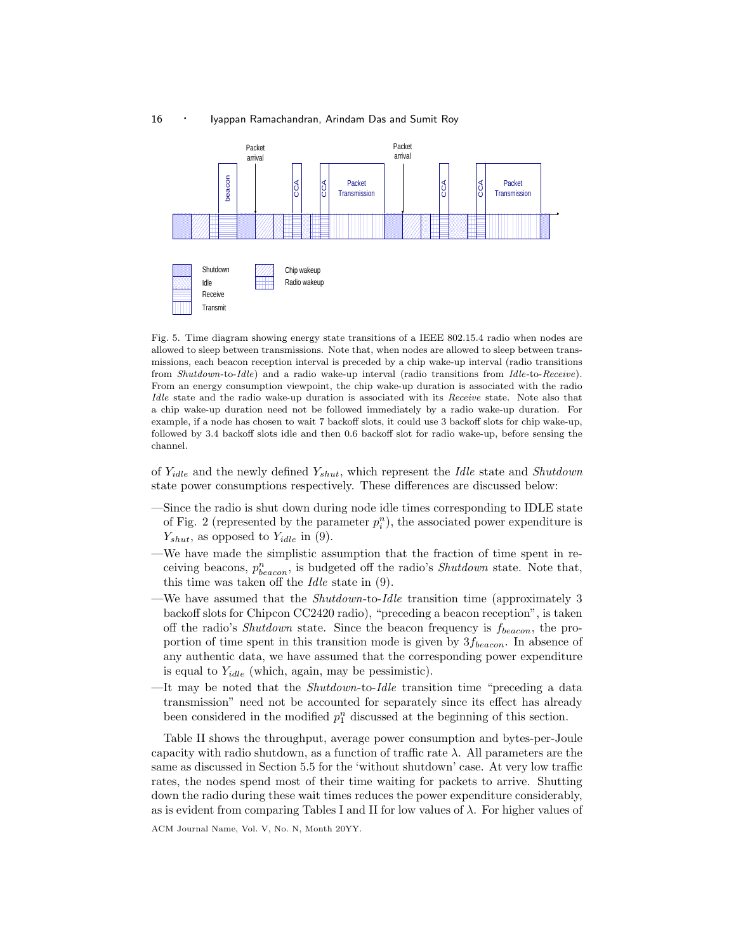

Fig. 5. Time diagram showing energy state transitions of a IEEE 802.15.4 radio when nodes are allowed to sleep between transmissions. Note that, when nodes are allowed to sleep between transmissions, each beacon reception interval is preceded by a chip wake-up interval (radio transitions from Shutdown-to-Idle) and a radio wake-up interval (radio transitions from Idle-to-Receive). From an energy consumption viewpoint, the chip wake-up duration is associated with the radio Idle state and the radio wake-up duration is associated with its Receive state. Note also that a chip wake-up duration need not be followed immediately by a radio wake-up duration. For example, if a node has chosen to wait 7 backoff slots, it could use 3 backoff slots for chip wake-up, followed by 3.4 backoff slots idle and then 0.6 backoff slot for radio wake-up, before sensing the channel.

of  $Y_{idle}$  and the newly defined  $Y_{shut}$ , which represent the Idle state and Shutdown state power consumptions respectively. These differences are discussed below:

- —Since the radio is shut down during node idle times corresponding to IDLE state of Fig. 2 (represented by the parameter  $p_i^n$ ), the associated power expenditure is  $Y_{shut}$ , as opposed to  $Y_{idle}$  in (9).
- —We have made the simplistic assumption that the fraction of time spent in receiving beacons,  $p_{beacon}^n$ , is budgeted off the radio's *Shutdown* state. Note that, this time was taken off the Idle state in (9).
- We have assumed that the *Shutdown*-to-*Idle* transition time (approximately 3) backoff slots for Chipcon CC2420 radio), "preceding a beacon reception", is taken off the radio's *Shutdown* state. Since the beacon frequency is  $f_{beacon}$ , the proportion of time spent in this transition mode is given by  $3f_{beacon}$ . In absence of any authentic data, we have assumed that the corresponding power expenditure is equal to  $Y_{idle}$  (which, again, may be pessimistic).
- —It may be noted that the *Shutdown*-to-*Idle* transition time "preceding a data transmission" need not be accounted for separately since its effect has already been considered in the modified  $p_1^n$  discussed at the beginning of this section.

Table II shows the throughput, average power consumption and bytes-per-Joule capacity with radio shutdown, as a function of traffic rate  $\lambda$ . All parameters are the same as discussed in Section 5.5 for the 'without shutdown' case. At very low traffic rates, the nodes spend most of their time waiting for packets to arrive. Shutting down the radio during these wait times reduces the power expenditure considerably, as is evident from comparing Tables I and II for low values of  $\lambda$ . For higher values of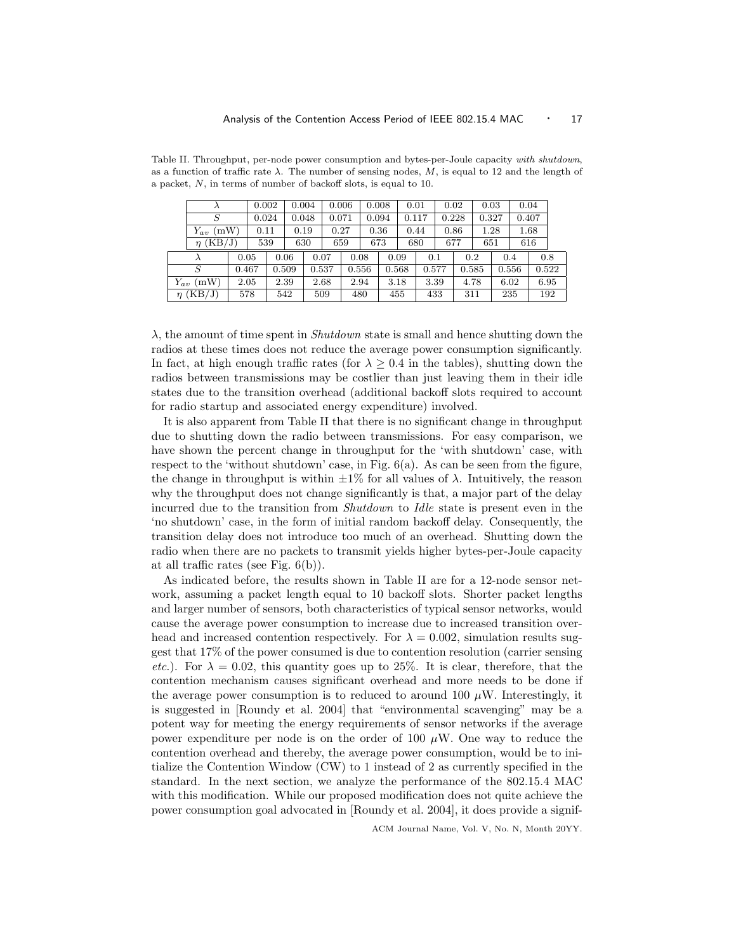|                       |      |       | 0.002 |       | 0.004 | 0.006 |       | 0.008 |       | 0.01  |       | 0.02 |       | 0.03 |       | 0.04  |       |  |
|-----------------------|------|-------|-------|-------|-------|-------|-------|-------|-------|-------|-------|------|-------|------|-------|-------|-------|--|
| S                     |      |       | 0.024 |       | 0.048 |       | 0.071 |       | 0.094 |       | 0.117 |      | 0.228 |      | 0.327 |       | 0.407 |  |
| $Y_{av}$ (mW)         |      |       | 0.11  |       | 0.19  |       | 0.27  |       | 0.36  |       | 0.44  |      | 0.86  |      | 1.28  |       | 1.68  |  |
| $\eta$ (KB/J)         |      | 539   |       | 630   |       | 659   |       | 673   |       | 680   |       | 677  |       | 651  |       | 616   |       |  |
|                       | 0.05 |       | 0.06  |       | 0.07  | 0.08  |       |       | 0.09  |       | 0.1   |      | 0.2   |      | 0.4   |       | 0.8   |  |
| S                     |      | 0.467 |       | 0.509 |       | 0.537 |       | 0.556 |       | 0.568 | 0.577 |      | 0.585 |      | 0.556 | 0.522 |       |  |
| $Y_{av}$ (mW)<br>2.05 |      |       | 2.39  |       | 2.68  |       | 2.94  |       |       | 3.18  |       | 3.39 |       | 4.78 |       | 6.02  | 6.95  |  |
| $\eta$ (KB/J)<br>578  |      |       | 542   |       | 509   |       | 480   |       |       | 455   | 433   |      | 311   |      | 235   |       | 192   |  |

Table II. Throughput, per-node power consumption and bytes-per-Joule capacity with shutdown, as a function of traffic rate  $\lambda$ . The number of sensing nodes, M, is equal to 12 and the length of a packet, N, in terms of number of backoff slots, is equal to 10.

 $\lambda$ , the amount of time spent in *Shutdown* state is small and hence shutting down the radios at these times does not reduce the average power consumption significantly. In fact, at high enough traffic rates (for  $\lambda \geq 0.4$  in the tables), shutting down the radios between transmissions may be costlier than just leaving them in their idle states due to the transition overhead (additional backoff slots required to account for radio startup and associated energy expenditure) involved.

It is also apparent from Table II that there is no significant change in throughput due to shutting down the radio between transmissions. For easy comparison, we have shown the percent change in throughput for the 'with shutdown' case, with respect to the 'without shutdown' case, in Fig.  $6(a)$ . As can be seen from the figure, the change in throughput is within  $\pm 1\%$  for all values of  $\lambda$ . Intuitively, the reason why the throughput does not change significantly is that, a major part of the delay incurred due to the transition from Shutdown to Idle state is present even in the 'no shutdown' case, in the form of initial random backoff delay. Consequently, the transition delay does not introduce too much of an overhead. Shutting down the radio when there are no packets to transmit yields higher bytes-per-Joule capacity at all traffic rates (see Fig. 6(b)).

As indicated before, the results shown in Table II are for a 12-node sensor network, assuming a packet length equal to 10 backoff slots. Shorter packet lengths and larger number of sensors, both characteristics of typical sensor networks, would cause the average power consumption to increase due to increased transition overhead and increased contention respectively. For  $\lambda = 0.002$ , simulation results suggest that 17% of the power consumed is due to contention resolution (carrier sensing etc.). For  $\lambda = 0.02$ , this quantity goes up to 25%. It is clear, therefore, that the contention mechanism causes significant overhead and more needs to be done if the average power consumption is to reduced to around  $100 \mu W$ . Interestingly, it is suggested in [Roundy et al. 2004] that "environmental scavenging" may be a potent way for meeting the energy requirements of sensor networks if the average power expenditure per node is on the order of 100  $\mu$ W. One way to reduce the contention overhead and thereby, the average power consumption, would be to initialize the Contention Window (CW) to 1 instead of 2 as currently specified in the standard. In the next section, we analyze the performance of the 802.15.4 MAC with this modification. While our proposed modification does not quite achieve the power consumption goal advocated in [Roundy et al. 2004], it does provide a signif-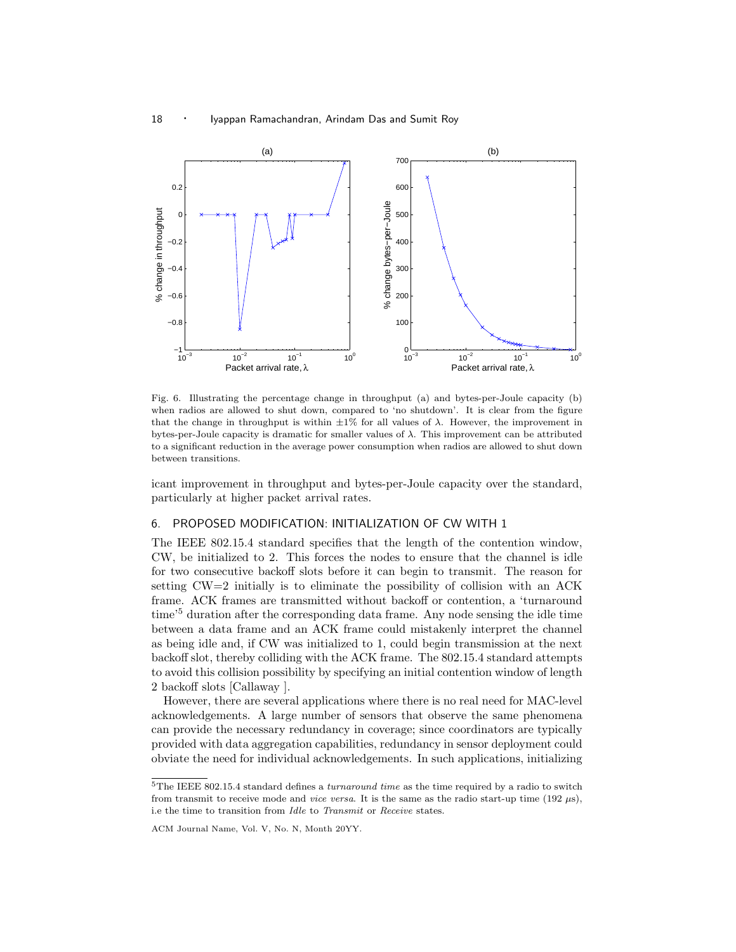

Fig. 6. Illustrating the percentage change in throughput (a) and bytes-per-Joule capacity (b) when radios are allowed to shut down, compared to 'no shutdown'. It is clear from the figure that the change in throughput is within  $\pm 1\%$  for all values of  $\lambda$ . However, the improvement in bytes-per-Joule capacity is dramatic for smaller values of  $\lambda$ . This improvement can be attributed to a significant reduction in the average power consumption when radios are allowed to shut down between transitions.

icant improvement in throughput and bytes-per-Joule capacity over the standard, particularly at higher packet arrival rates.

# 6. PROPOSED MODIFICATION: INITIALIZATION OF CW WITH 1

The IEEE 802.15.4 standard specifies that the length of the contention window, CW, be initialized to 2. This forces the nodes to ensure that the channel is idle for two consecutive backoff slots before it can begin to transmit. The reason for setting CW=2 initially is to eliminate the possibility of collision with an ACK frame. ACK frames are transmitted without backoff or contention, a 'turnaround time<sup>5</sup> duration after the corresponding data frame. Any node sensing the idle time between a data frame and an ACK frame could mistakenly interpret the channel as being idle and, if CW was initialized to 1, could begin transmission at the next backoff slot, thereby colliding with the ACK frame. The 802.15.4 standard attempts to avoid this collision possibility by specifying an initial contention window of length 2 backoff slots [Callaway ].

However, there are several applications where there is no real need for MAC-level acknowledgements. A large number of sensors that observe the same phenomena can provide the necessary redundancy in coverage; since coordinators are typically provided with data aggregation capabilities, redundancy in sensor deployment could obviate the need for individual acknowledgements. In such applications, initializing

 $5$ The IEEE 802.15.4 standard defines a *turnaround time* as the time required by a radio to switch from transmit to receive mode and vice versa. It is the same as the radio start-up time (192  $\mu$ s), i.e the time to transition from Idle to Transmit or Receive states.

ACM Journal Name, Vol. V, No. N, Month 20YY.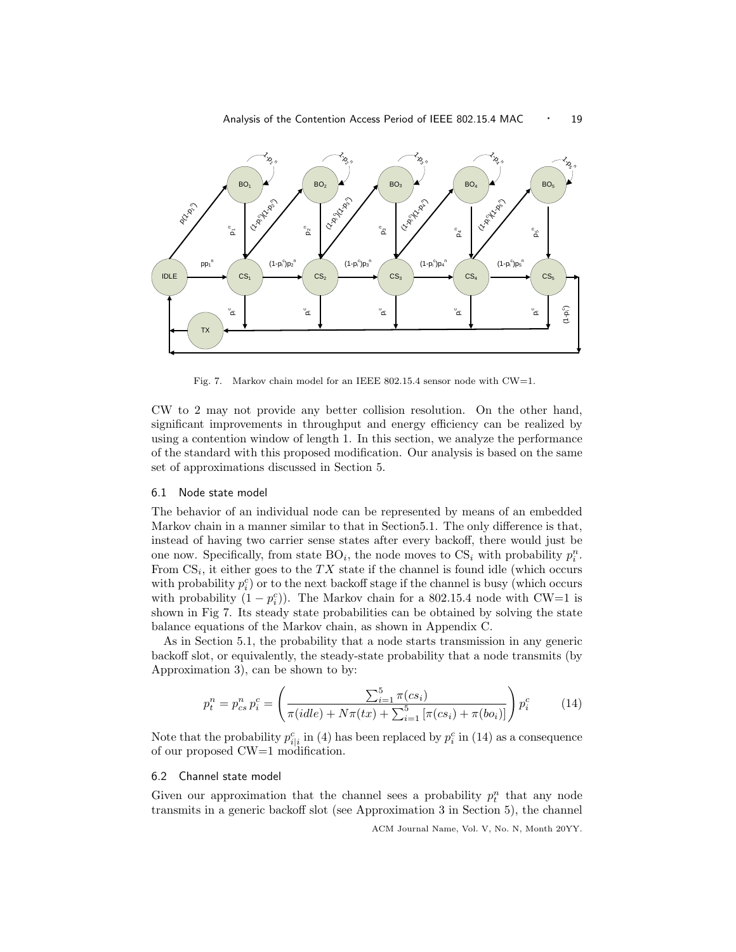

Fig. 7. Markov chain model for an IEEE 802.15.4 sensor node with  $CW=1$ .

CW to 2 may not provide any better collision resolution. On the other hand, significant improvements in throughput and energy efficiency can be realized by using a contention window of length 1. In this section, we analyze the performance of the standard with this proposed modification. Our analysis is based on the same set of approximations discussed in Section 5.

## 6.1 Node state model

The behavior of an individual node can be represented by means of an embedded Markov chain in a manner similar to that in Section5.1. The only difference is that, instead of having two carrier sense states after every backoff, there would just be one now. Specifically, from state  $BO_i$ , the node moves to  $CS_i$  with probability  $p_i^n$ . From  $\text{CS}_i$ , it either goes to the TX state if the channel is found idle (which occurs with probability  $p_i^c$ ) or to the next backoff stage if the channel is busy (which occurs with probability  $(1 - p_i^c)$ ). The Markov chain for a 802.15.4 node with CW=1 is shown in Fig 7. Its steady state probabilities can be obtained by solving the state balance equations of the Markov chain, as shown in Appendix C.

As in Section 5.1, the probability that a node starts transmission in any generic backoff slot, or equivalently, the steady-state probability that a node transmits (by Approximation 3), can be shown to by:

$$
p_t^n = p_{cs}^n p_i^c = \left(\frac{\sum_{i=1}^5 \pi(cs_i)}{\pi(idle) + N\pi(tx) + \sum_{i=1}^5 [\pi(cs_i) + \pi(bo_i)]}\right) p_i^c \tag{14}
$$

Note that the probability  $p_{i|i}^c$  in (4) has been replaced by  $p_i^c$  in (14) as a consequence of our proposed CW=1 modification.

#### 6.2 Channel state model

Given our approximation that the channel sees a probability  $p_t^n$  that any node transmits in a generic backoff slot (see Approximation 3 in Section 5), the channel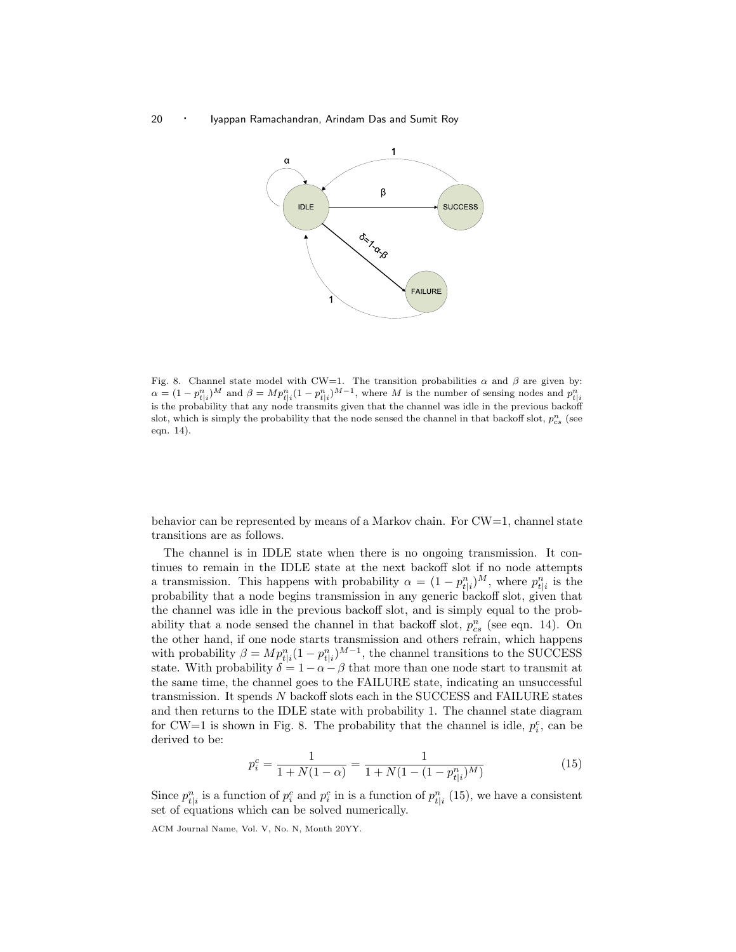

Fig. 8. Channel state model with CW=1. The transition probabilities  $\alpha$  and  $\beta$  are given by:  $\alpha = (1 - p_{t|i}^n)^M$  and  $\beta = M p_{t|i}^n (1 - p_{t|i}^n)^{M-1}$ , where M is the number of sensing nodes and  $p_{t|i}^n$ is the probability that any node transmits given that the channel was idle in the previous backoff slot, which is simply the probability that the node sensed the channel in that backoff slot,  $p_{cs}^n$  (see eqn. 14).

behavior can be represented by means of a Markov chain. For CW=1, channel state transitions are as follows.

The channel is in IDLE state when there is no ongoing transmission. It continues to remain in the IDLE state at the next backoff slot if no node attempts a transmission. This happens with probability  $\alpha = (1 - p_{t|i}^n)^M$ , where  $p_{t|i}^n$  is the probability that a node begins transmission in any generic backoff slot, given that the channel was idle in the previous backoff slot, and is simply equal to the probability that a node sensed the channel in that backoff slot,  $p_{cs}^n$  (see eqn. 14). On the other hand, if one node starts transmission and others refrain, which happens with probability  $\beta = M p_{t|i}^n (1 - p_{t|i}^n)^{M-1}$ , the channel transitions to the SUCCESS state. With probability  $\delta = 1 - \alpha - \beta$  that more than one node start to transmit at the same time, the channel goes to the FAILURE state, indicating an unsuccessful transmission. It spends N backoff slots each in the SUCCESS and FAILURE states and then returns to the IDLE state with probability 1. The channel state diagram for CW=1 is shown in Fig. 8. The probability that the channel is idle,  $p_i^c$ , can be derived to be:

$$
p_i^c = \frac{1}{1 + N(1 - \alpha)} = \frac{1}{1 + N(1 - (1 - p_{t|i}^n)^M)}
$$
(15)

Since  $p_{t|i}^n$  is a function of  $p_i^c$  and  $p_i^c$  in is a function of  $p_{t|i}^n$  (15), we have a consistent set of equations which can be solved numerically.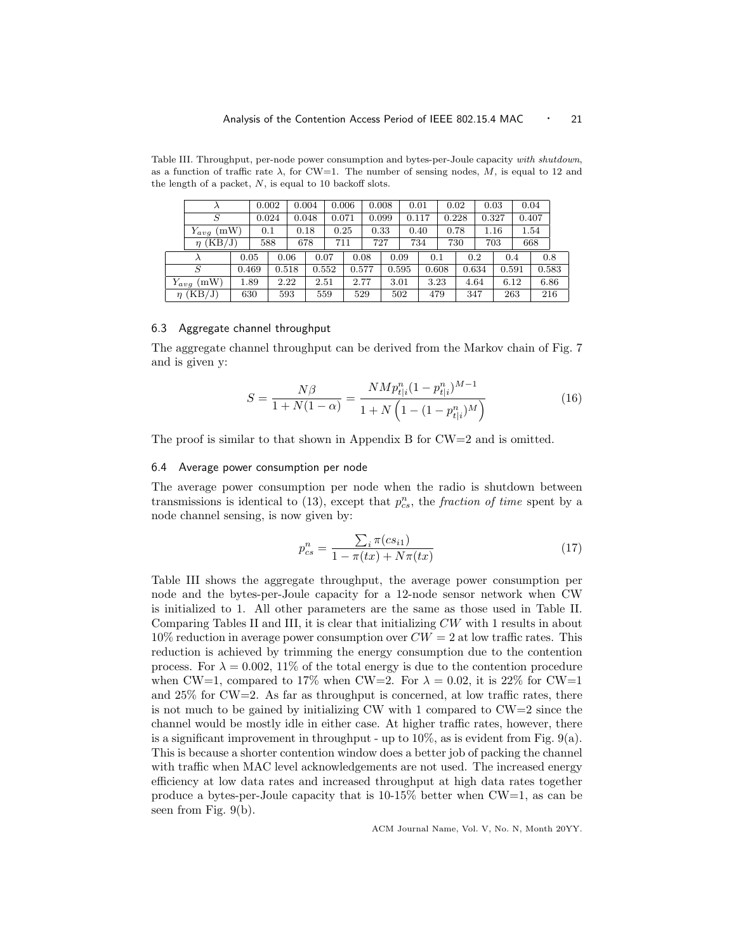Table III. Throughput, per-node power consumption and bytes-per-Joule capacity with shutdown, as a function of traffic rate  $\lambda$ , for CW=1. The number of sensing nodes, M, is equal to 12 and the length of a packet,  $N$ , is equal to 10 backoff slots.

|                | S                 |       |              | 0.002 |       | 0.004 |                | 0.006 |       | 0.008 |       | 0.01 |       | 0.02 |       | 0.03  |       | 0.04  |  |
|----------------|-------------------|-------|--------------|-------|-------|-------|----------------|-------|-------|-------|-------|------|-------|------|-------|-------|-------|-------|--|
|                |                   |       | 0.024        |       | 0.048 |       | 0.071          |       | 0.099 |       | 0.117 |      | 0.228 |      | 0.327 |       | 0.407 |       |  |
|                | (mW)<br>$Y_{ava}$ |       | 0.1          | 0.18  |       | 0.25  |                |       |       | 0.33  | 0.40  |      | 0.78  |      | 1.16  |       | 1.54  |       |  |
|                | $\eta$ (KB/J)     | 588   |              |       | 678   |       | 711            |       | 727   | 734   |       |      | 730   | 703  |       | 668   |       |       |  |
|                |                   |       | 0.05<br>0.06 |       | 0.07  |       | 0.08           |       |       | 0.09  |       | 0.1  |       | 0.2  |       | 0.4   |       | 0.8   |  |
| S              |                   | 0.469 |              |       | 0.518 |       | 0.577<br>0.552 |       | 0.595 |       | 0.608 |      | 0.634 |      |       | 0.591 |       | 0.583 |  |
| $Y_{avg}$ (mW) |                   |       | 1.89         | 2.22  |       | 2.51  |                | 2.77  |       | 3.01  |       | 3.23 |       | 4.64 |       |       | 6.12  | 6.86  |  |
| $\eta$ (KB/J)  |                   |       | 630          | 593   |       |       | 559            |       | 529   |       | 502   | 479  |       | 347  |       | 263   |       | 216   |  |

#### 6.3 Aggregate channel throughput

The aggregate channel throughput can be derived from the Markov chain of Fig. 7 and is given y:

$$
S = \frac{N\beta}{1 + N(1 - \alpha)} = \frac{N M p_{t|i}^n (1 - p_{t|i}^n)^{M-1}}{1 + N \left(1 - (1 - p_{t|i}^n)^M\right)}
$$
(16)

The proof is similar to that shown in Appendix B for CW=2 and is omitted.

## 6.4 Average power consumption per node

The average power consumption per node when the radio is shutdown between transmissions is identical to (13), except that  $p_{cs}^n$ , the *fraction of time* spent by a node channel sensing, is now given by:

$$
p_{cs}^{n} = \frac{\sum_{i} \pi (cs_{i1})}{1 - \pi (tx) + N\pi (tx)} \tag{17}
$$

Table III shows the aggregate throughput, the average power consumption per node and the bytes-per-Joule capacity for a 12-node sensor network when CW is initialized to 1. All other parameters are the same as those used in Table II. Comparing Tables II and III, it is clear that initializing CW with 1 results in about  $10\%$  reduction in average power consumption over  $CW = 2$  at low traffic rates. This reduction is achieved by trimming the energy consumption due to the contention process. For  $\lambda = 0.002, 11\%$  of the total energy is due to the contention procedure when CW=1, compared to 17% when CW=2. For  $\lambda = 0.02$ , it is 22% for CW=1 and 25% for CW=2. As far as throughput is concerned, at low traffic rates, there is not much to be gained by initializing CW with 1 compared to CW=2 since the channel would be mostly idle in either case. At higher traffic rates, however, there is a significant improvement in throughput - up to  $10\%$ , as is evident from Fig.  $9(a)$ . This is because a shorter contention window does a better job of packing the channel with traffic when MAC level acknowledgements are not used. The increased energy efficiency at low data rates and increased throughput at high data rates together produce a bytes-per-Joule capacity that is 10-15% better when CW=1, as can be seen from Fig. 9(b).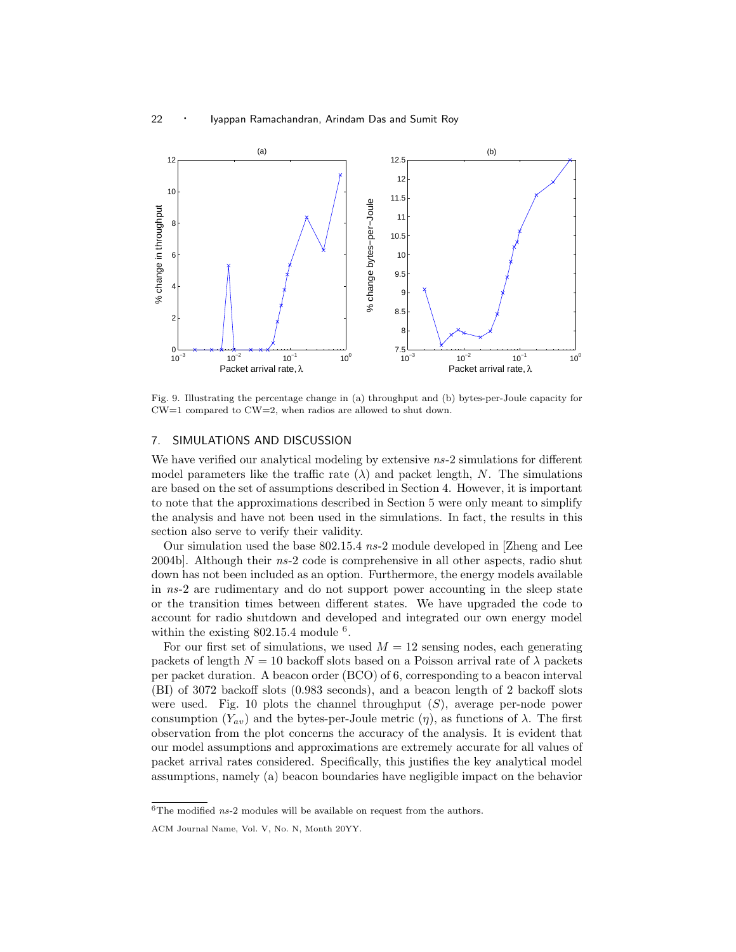

Fig. 9. Illustrating the percentage change in (a) throughput and (b) bytes-per-Joule capacity for CW=1 compared to CW=2, when radios are allowed to shut down.

## 7. SIMULATIONS AND DISCUSSION

We have verified our analytical modeling by extensive  $ns-2$  simulations for different model parameters like the traffic rate  $(\lambda)$  and packet length, N. The simulations are based on the set of assumptions described in Section 4. However, it is important to note that the approximations described in Section 5 were only meant to simplify the analysis and have not been used in the simulations. In fact, the results in this section also serve to verify their validity.

Our simulation used the base 802.15.4 ns-2 module developed in [Zheng and Lee 2004b]. Although their ns-2 code is comprehensive in all other aspects, radio shut down has not been included as an option. Furthermore, the energy models available in ns-2 are rudimentary and do not support power accounting in the sleep state or the transition times between different states. We have upgraded the code to account for radio shutdown and developed and integrated our own energy model within the existing  $802.15.4$  module  $6$ .

For our first set of simulations, we used  $M = 12$  sensing nodes, each generating packets of length  $N = 10$  backoff slots based on a Poisson arrival rate of  $\lambda$  packets per packet duration. A beacon order (BCO) of 6, corresponding to a beacon interval (BI) of 3072 backoff slots (0.983 seconds), and a beacon length of 2 backoff slots were used. Fig. 10 plots the channel throughput  $(S)$ , average per-node power consumption  $(Y_{av})$  and the bytes-per-Joule metric  $(\eta)$ , as functions of  $\lambda$ . The first observation from the plot concerns the accuracy of the analysis. It is evident that our model assumptions and approximations are extremely accurate for all values of packet arrival rates considered. Specifically, this justifies the key analytical model assumptions, namely (a) beacon boundaries have negligible impact on the behavior

 ${}^{6}$ The modified *ns*-2 modules will be available on request from the authors.

ACM Journal Name, Vol. V, No. N, Month 20YY.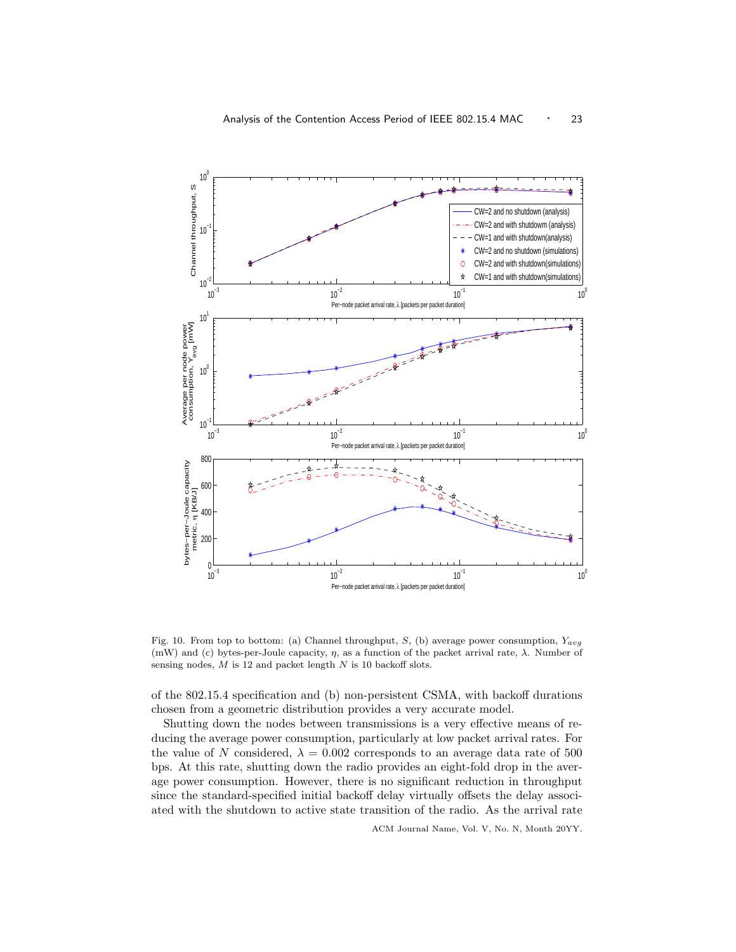

Fig. 10. From top to bottom: (a) Channel throughput, S, (b) average power consumption,  $Y_{avg}$ (mW) and (c) bytes-per-Joule capacity,  $\eta$ , as a function of the packet arrival rate,  $\lambda$ . Number of sensing nodes,  $M$  is 12 and packet length  $N$  is 10 backoff slots.

of the 802.15.4 specification and (b) non-persistent CSMA, with backoff durations chosen from a geometric distribution provides a very accurate model.

Shutting down the nodes between transmissions is a very effective means of reducing the average power consumption, particularly at low packet arrival rates. For the value of N considered,  $\lambda = 0.002$  corresponds to an average data rate of 500 bps. At this rate, shutting down the radio provides an eight-fold drop in the average power consumption. However, there is no significant reduction in throughput since the standard-specified initial backoff delay virtually offsets the delay associated with the shutdown to active state transition of the radio. As the arrival rate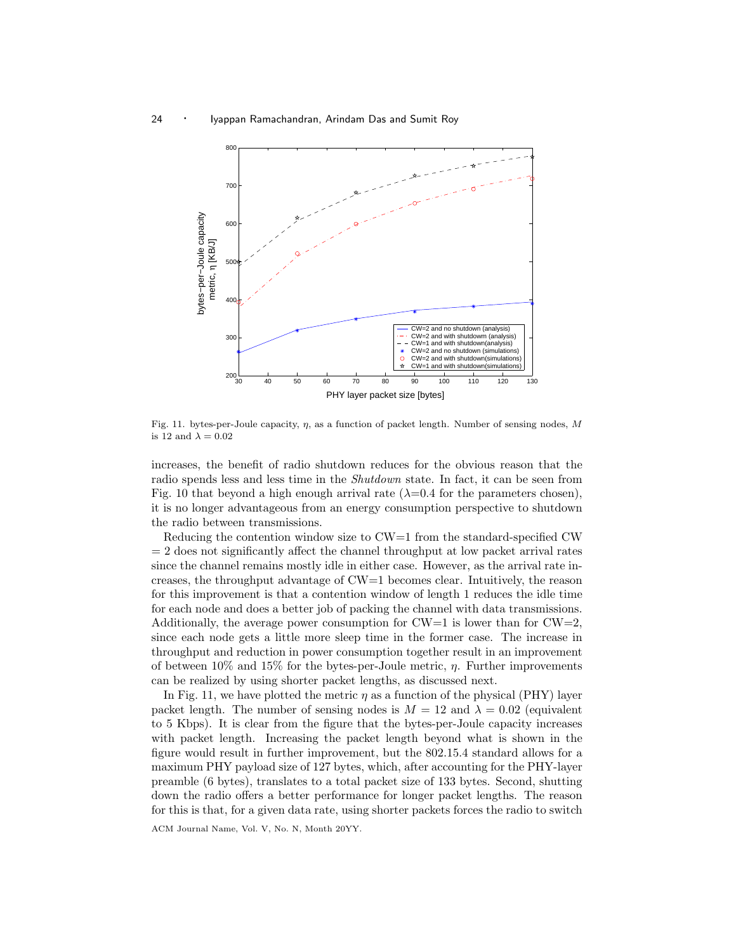

Fig. 11. bytes-per-Joule capacity,  $\eta$ , as a function of packet length. Number of sensing nodes, M is 12 and  $\lambda=0.02$ 

increases, the benefit of radio shutdown reduces for the obvious reason that the radio spends less and less time in the Shutdown state. In fact, it can be seen from Fig. 10 that beyond a high enough arrival rate ( $\lambda$ =0.4 for the parameters chosen), it is no longer advantageous from an energy consumption perspective to shutdown the radio between transmissions.

Reducing the contention window size to CW=1 from the standard-specified CW  $= 2$  does not significantly affect the channel throughput at low packet arrival rates since the channel remains mostly idle in either case. However, as the arrival rate increases, the throughput advantage of CW=1 becomes clear. Intuitively, the reason for this improvement is that a contention window of length 1 reduces the idle time for each node and does a better job of packing the channel with data transmissions. Additionally, the average power consumption for  $CW=1$  is lower than for  $CW=2$ , since each node gets a little more sleep time in the former case. The increase in throughput and reduction in power consumption together result in an improvement of between  $10\%$  and  $15\%$  for the bytes-per-Joule metric,  $\eta$ . Further improvements can be realized by using shorter packet lengths, as discussed next.

In Fig. 11, we have plotted the metric  $\eta$  as a function of the physical (PHY) layer packet length. The number of sensing nodes is  $M = 12$  and  $\lambda = 0.02$  (equivalent to 5 Kbps). It is clear from the figure that the bytes-per-Joule capacity increases with packet length. Increasing the packet length beyond what is shown in the figure would result in further improvement, but the 802.15.4 standard allows for a maximum PHY payload size of 127 bytes, which, after accounting for the PHY-layer preamble (6 bytes), translates to a total packet size of 133 bytes. Second, shutting down the radio offers a better performance for longer packet lengths. The reason for this is that, for a given data rate, using shorter packets forces the radio to switch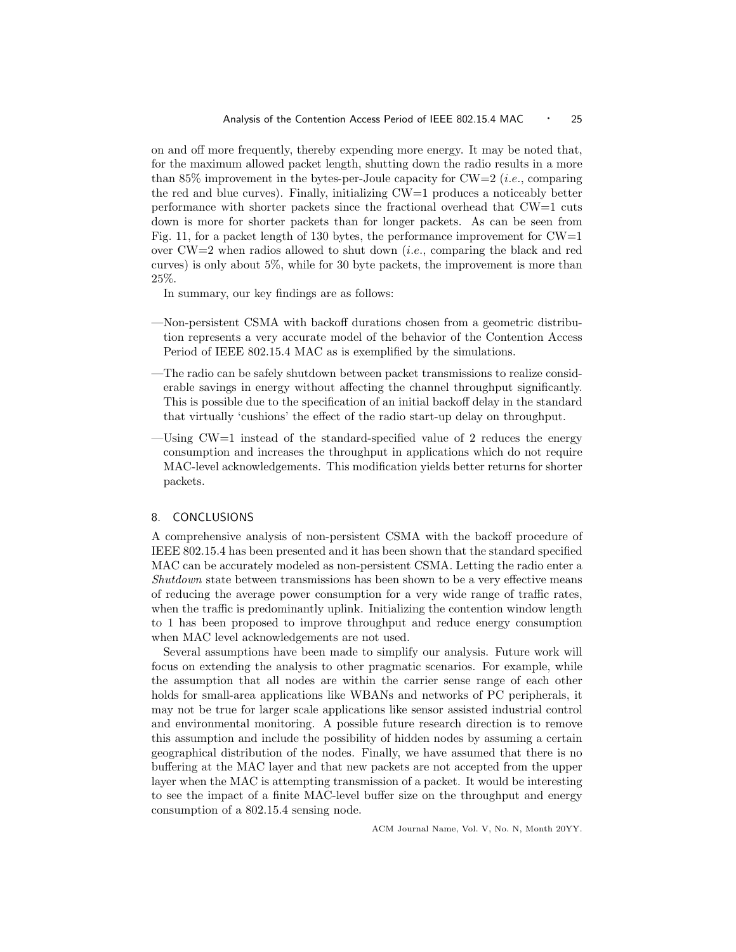on and off more frequently, thereby expending more energy. It may be noted that, for the maximum allowed packet length, shutting down the radio results in a more than 85% improvement in the bytes-per-Joule capacity for  $CW=2$  (*i.e.*, comparing the red and blue curves). Finally, initializing CW=1 produces a noticeably better performance with shorter packets since the fractional overhead that CW=1 cuts down is more for shorter packets than for longer packets. As can be seen from Fig. 11, for a packet length of 130 bytes, the performance improvement for  $CW=1$ over  $CW=2$  when radios allowed to shut down *(i.e., comparing the black and red* curves) is only about 5%, while for 30 byte packets, the improvement is more than 25%.

In summary, our key findings are as follows:

- —Non-persistent CSMA with backoff durations chosen from a geometric distribution represents a very accurate model of the behavior of the Contention Access Period of IEEE 802.15.4 MAC as is exemplified by the simulations.
- —The radio can be safely shutdown between packet transmissions to realize considerable savings in energy without affecting the channel throughput significantly. This is possible due to the specification of an initial backoff delay in the standard that virtually 'cushions' the effect of the radio start-up delay on throughput.
- —Using  $CW=1$  instead of the standard-specified value of 2 reduces the energy consumption and increases the throughput in applications which do not require MAC-level acknowledgements. This modification yields better returns for shorter packets.

#### 8. CONCLUSIONS

A comprehensive analysis of non-persistent CSMA with the backoff procedure of IEEE 802.15.4 has been presented and it has been shown that the standard specified MAC can be accurately modeled as non-persistent CSMA. Letting the radio enter a Shutdown state between transmissions has been shown to be a very effective means of reducing the average power consumption for a very wide range of traffic rates, when the traffic is predominantly uplink. Initializing the contention window length to 1 has been proposed to improve throughput and reduce energy consumption when MAC level acknowledgements are not used.

Several assumptions have been made to simplify our analysis. Future work will focus on extending the analysis to other pragmatic scenarios. For example, while the assumption that all nodes are within the carrier sense range of each other holds for small-area applications like WBANs and networks of PC peripherals, it may not be true for larger scale applications like sensor assisted industrial control and environmental monitoring. A possible future research direction is to remove this assumption and include the possibility of hidden nodes by assuming a certain geographical distribution of the nodes. Finally, we have assumed that there is no buffering at the MAC layer and that new packets are not accepted from the upper layer when the MAC is attempting transmission of a packet. It would be interesting to see the impact of a finite MAC-level buffer size on the throughput and energy consumption of a 802.15.4 sensing node.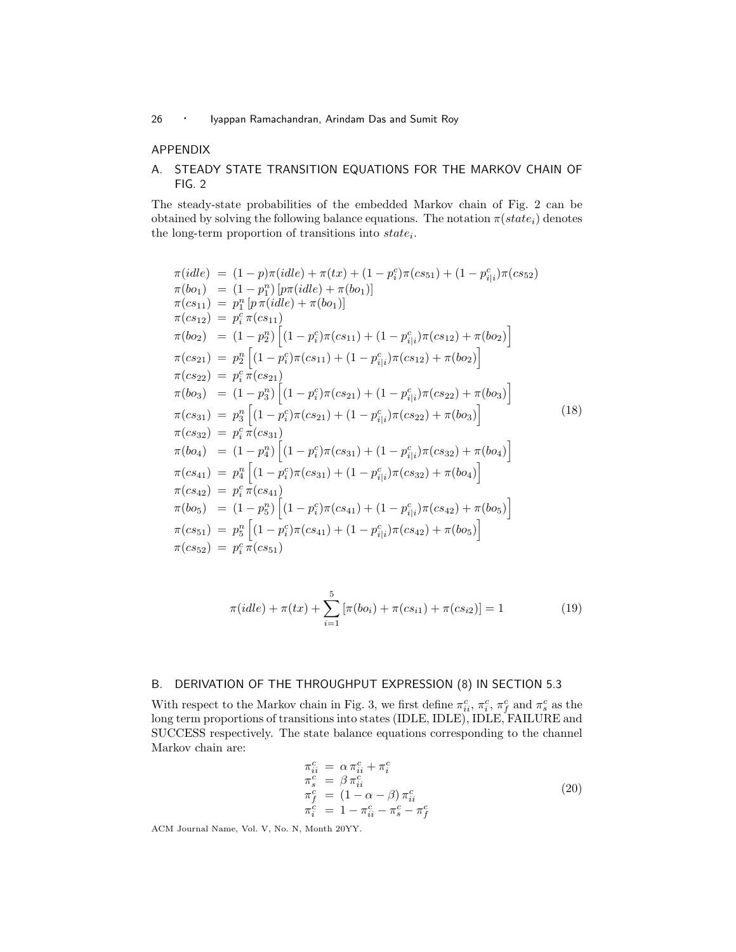# APPENDIX

# A. STEADY STATE TRANSITION EQUATIONS FOR THE MARKOV CHAIN OF FIG. 2

The steady-state probabilities of the embedded Markov chain of Fig. 2 can be obtained by solving the following balance equations. The notation  $\pi(state_i)$  denotes the long-term proportion of transitions into  $state_i$ .

$$
\pi(idle) = (1-p)\pi(idle) + \pi(tx) + (1-p_i^c)\pi(c_{51}) + (1-p_{i|i}^c)\pi(c_{52})
$$
  
\n
$$
\pi(b_{01}) = (1-p_1^n)[p\pi(idle) + \pi(b_{01})]
$$
  
\n
$$
\pi(c_{311}) = p_1^n [p\pi(idle) + \pi(b_{01})]
$$
  
\n
$$
\pi(c_{312}) = p_i^c \pi(c_{311})
$$
  
\n
$$
\pi(b_{02}) = (1-p_2^n)[(1-p_i^c)\pi(c_{311}) + (1-p_{i|i}^c)\pi(c_{312}) + \pi(b_{02})]
$$
  
\n
$$
\pi(c_{321}) = p_2^n [(1-p_i^c)\pi(c_{311}) + (1-p_{i|i}^c)\pi(c_{312}) + \pi(b_{02})]
$$
  
\n
$$
\pi(c_{322}) = p_i^c \pi(c_{321})
$$
  
\n
$$
\pi(b_{03}) = (1-p_3^n)[(1-p_i^c)\pi(c_{311}) + (1-p_{i|i}^c)\pi(c_{322}) + \pi(b_{03})]
$$
  
\n
$$
\pi(c_{331}) = p_3^n [(1-p_i^c)\pi(c_{311}) + (1-p_{i|i}^c)\pi(c_{322}) + \pi(b_{03})]
$$
  
\n
$$
\pi(c_{332}) = p_i^c \pi(c_{331})
$$
  
\n
$$
\pi(b_{04}) = (1-p_4^n)[(1-p_i^c)\pi(c_{331}) + (1-p_{i|i}^c)\pi(c_{332}) + \pi(b_{04})]
$$
  
\n
$$
\pi(c_{341}) = p_4^n [(1-p_i^c)\pi(c_{331}) + (1-p_{i|i}^c)\pi(c_{332}) + \pi(b_{04})]
$$
  
\n
$$
\pi(c_{342}) = p_i^c \pi(c_{341})
$$
  
\n
$$
\pi(b_{05}) = (1-p_5^n)[(1-p_i^c)\pi(c_{341}) + (1-p_{i|i}^c)\pi(c_{342}) + \pi(b_{05})]
$$
  
\n
$$
\pi(c_{351}) = p_5^n [(1-p_i^c)\pi(c_{341}) + (1-p_{i|i}^
$$

$$
\pi(idle) + \pi(tx) + \sum_{i=1}^{5} [\pi(bo_i) + \pi(c s_{i1}) + \pi(c s_{i2})] = 1
$$
\n(19)

# B. DERIVATION OF THE THROUGHPUT EXPRESSION (8) IN SECTION 5.3

With respect to the Markov chain in Fig. 3, we first define  $\pi_{ii}^c$ ,  $\pi_i^c$ ,  $\pi_f^c$  and  $\pi_s^c$  as the long term proportions of transitions into states (IDLE, IDLE), IDLE, FAILURE and SUCCESS respectively. The state balance equations corresponding to the channel Markov chain are:

$$
\begin{array}{l}\n\pi_{ii}^{c} = \alpha \pi_{ii}^{c} + \pi_{i}^{c} \\
\pi_{s}^{c} = \beta \pi_{ii}^{c} \\
\pi_{f}^{c} = (1 - \alpha - \beta) \pi_{ii}^{c} \\
\pi_{i}^{c} = 1 - \pi_{ii}^{c} - \pi_{s}^{c} - \pi_{f}^{c}\n\end{array} \tag{20}
$$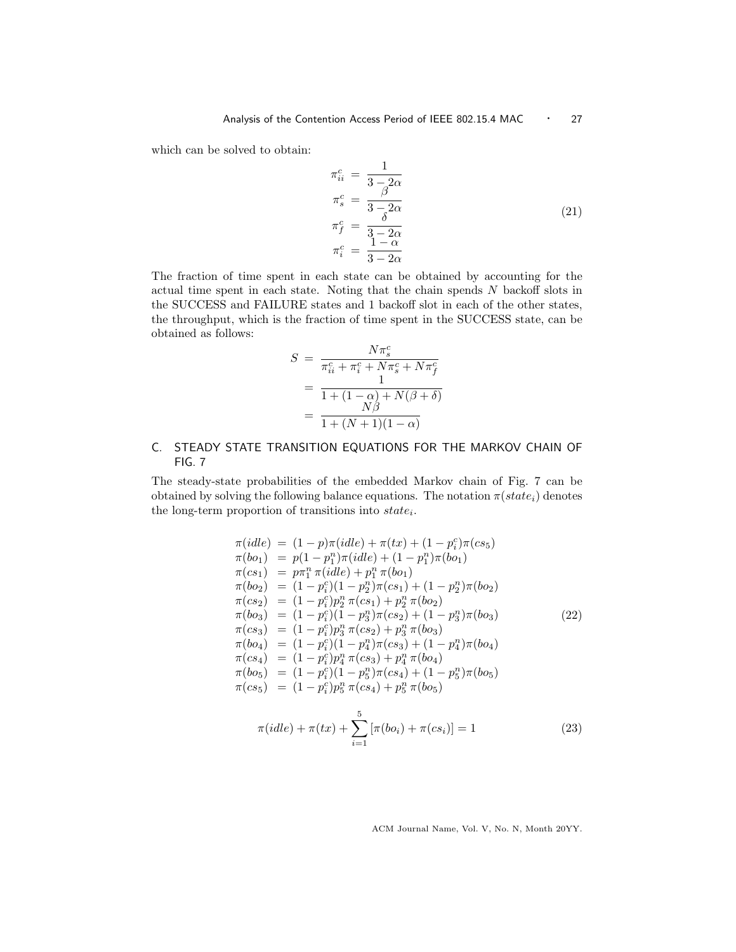which can be solved to obtain:

$$
\pi_{ii}^{c} = \frac{1}{3 - 2\alpha}
$$
\n
$$
\pi_{s}^{c} = \frac{\beta}{3 - 2\alpha}
$$
\n
$$
\pi_{f}^{c} = \frac{1 - 2\alpha}{3 - 2\alpha}
$$
\n
$$
\pi_{i}^{c} = \frac{1 - \alpha}{3 - 2\alpha}
$$
\n(21)

The fraction of time spent in each state can be obtained by accounting for the actual time spent in each state. Noting that the chain spends N backoff slots in the SUCCESS and FAILURE states and 1 backoff slot in each of the other states, the throughput, which is the fraction of time spent in the SUCCESS state, can be obtained as follows:

$$
S = \frac{N\pi_s^c}{\pi_{ii}^c + \pi_i^c + N\pi_s^c + N\pi_f^c}
$$

$$
= \frac{1}{1 + (1 - \alpha) + N(\beta + \delta)}
$$

$$
= \frac{N\beta}{1 + (N + 1)(1 - \alpha)}
$$

# C. STEADY STATE TRANSITION EQUATIONS FOR THE MARKOV CHAIN OF FIG. 7

The steady-state probabilities of the embedded Markov chain of Fig. 7 can be obtained by solving the following balance equations. The notation  $\pi(state_i)$  denotes the long-term proportion of transitions into  $state_i$ .

$$
\pi(idle) = (1-p)\pi(idle) + \pi(tx) + (1-p_i^c)\pi(css)
$$
\n
$$
\pi(bo_1) = p(1-p_1^n)\pi(idle) + (1-p_1^n)\pi(bo_1)
$$
\n
$$
\pi(cs_1) = p\pi_1^n \pi(idle) + p_1^n \pi(bo_1)
$$
\n
$$
\pi(bo_2) = (1-p_i^c)(1-p_2^n)\pi(cs_1) + (1-p_2^n)\pi(bo_2)
$$
\n
$$
\pi(cs_2) = (1-p_i^c)p_2^n \pi(cs_1) + p_2^n \pi(bo_2)
$$
\n
$$
\pi(bo_3) = (1-p_i^c)(1-p_3^n)\pi(cs_2) + (1-p_3^n)\pi(bo_3)
$$
\n
$$
\pi(cs_3) = (1-p_i^c)p_3^n \pi(cs_2) + p_3^n \pi(bo_3)
$$
\n
$$
\pi(bo_4) = (1-p_i^c)(1-p_4^n)\pi(cs_3) + (1-p_4^n)\pi(bo_4)
$$
\n
$$
\pi(cs_4) = (1-p_i^c)p_4^n \pi(cs_3) + p_4^n \pi(bo_4)
$$
\n
$$
\pi(bo_5) = (1-p_i^c)(1-p_5^n)\pi(cs_4) + (1-p_5^n)\pi(bo_5)
$$
\n
$$
\pi(cs_5) = (1-p_i^c)p_5^n \pi(cs_4) + p_5^n \pi(bo_5)
$$

$$
\pi(idle) + \pi(tx) + \sum_{i=1}^{5} [\pi(bo_i) + \pi(cs_i)] = 1
$$
\n(23)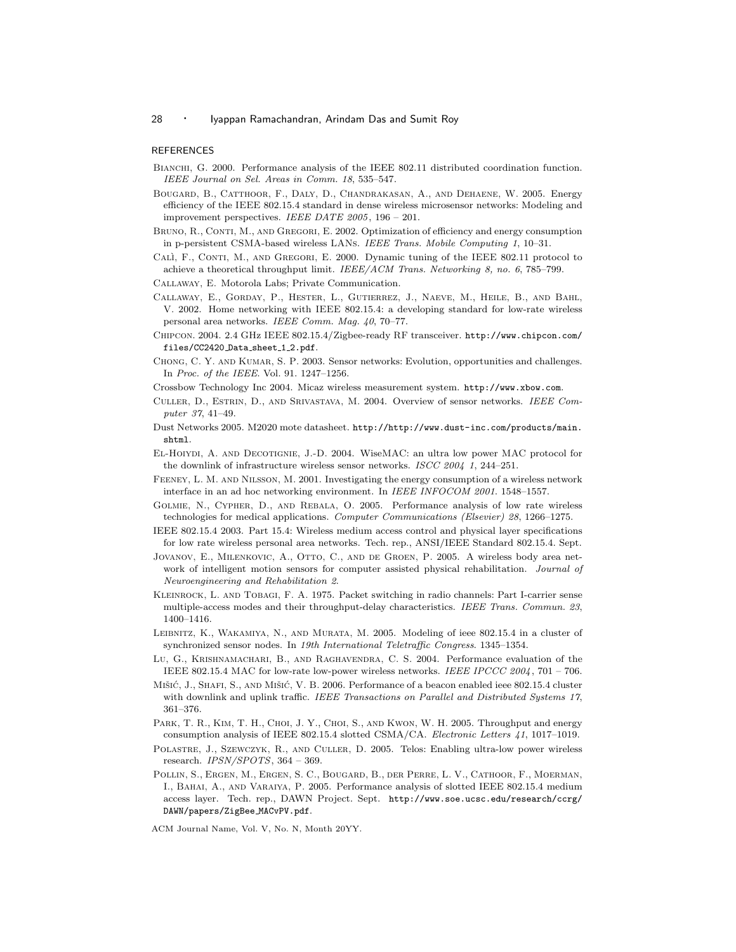#### **REFERENCES**

- BIANCHI, G. 2000. Performance analysis of the IEEE 802.11 distributed coordination function. IEEE Journal on Sel. Areas in Comm. 18, 535–547.
- Bougard, B., Catthoor, F., Daly, D., Chandrakasan, A., and Dehaene, W. 2005. Energy efficiency of the IEEE 802.15.4 standard in dense wireless microsensor networks: Modeling and improvement perspectives. IEEE DATE 2005, 196 – 201.
- BRUNO, R., CONTI, M., AND GREGORI, E. 2002. Optimization of efficiency and energy consumption in p-persistent CSMA-based wireless LANs. IEEE Trans. Mobile Computing 1, 10–31.
- CALÌ, F., CONTI, M., AND GREGORI, E. 2000. Dynamic tuning of the IEEE 802.11 protocol to achieve a theoretical throughput limit. IEEE/ACM Trans. Networking 8, no. 6, 785–799.
- Callaway, E. Motorola Labs; Private Communication.
- Callaway, E., Gorday, P., Hester, L., Gutierrez, J., Naeve, M., Heile, B., and Bahl, V. 2002. Home networking with IEEE 802.15.4: a developing standard for low-rate wireless personal area networks. IEEE Comm. Mag. 40, 70–77.
- Chipcon. 2004. 2.4 GHz IEEE 802.15.4/Zigbee-ready RF transceiver. http://www.chipcon.com/ files/CC2420\_Data\_sheet\_1\_2.pdf.
- Chong, C. Y. and Kumar, S. P. 2003. Sensor networks: Evolution, opportunities and challenges. In Proc. of the IEEE. Vol. 91. 1247–1256.
- Crossbow Technology Inc 2004. Micaz wireless measurement system. http://www.xbow.com.
- Culler, D., Estrin, D., and Srivastava, M. 2004. Overview of sensor networks. IEEE Computer 37, 41–49.
- Dust Networks 2005. M2020 mote datasheet. http://http://www.dust-inc.com/products/main. shtml.
- El-Hoiydi, A. and Decotignie, J.-D. 2004. WiseMAC: an ultra low power MAC protocol for the downlink of infrastructure wireless sensor networks. ISCC 2004 1, 244–251.
- Feeney, L. M. and Nilsson, M. 2001. Investigating the energy consumption of a wireless network interface in an ad hoc networking environment. In IEEE INFOCOM 2001. 1548–1557.
- Golmie, N., Cypher, D., and Rebala, O. 2005. Performance analysis of low rate wireless technologies for medical applications. Computer Communications (Elsevier) 28, 1266–1275.
- IEEE 802.15.4 2003. Part 15.4: Wireless medium access control and physical layer specifications for low rate wireless personal area networks. Tech. rep., ANSI/IEEE Standard 802.15.4. Sept.
- JOVANOV, E., MILENKOVIC, A., OTTO, C., AND DE GROEN, P. 2005. A wireless body area network of intelligent motion sensors for computer assisted physical rehabilitation. Journal of Neuroengineering and Rehabilitation 2.
- Kleinrock, L. and Tobagi, F. A. 1975. Packet switching in radio channels: Part I-carrier sense multiple-access modes and their throughput-delay characteristics. IEEE Trans. Commun. 23, 1400–1416.
- Leibnitz, K., Wakamiya, N., and Murata, M. 2005. Modeling of ieee 802.15.4 in a cluster of synchronized sensor nodes. In 19th International Teletraffic Congress. 1345–1354.
- LU, G., KRISHNAMACHARI, B., AND RAGHAVENDRA, C. S. 2004. Performance evaluation of the IEEE 802.15.4 MAC for low-rate low-power wireless networks. IEEE IPCCC 2004, 701 – 706.
- Mišić, J., SHAFI, S., AND Mišić, V. B. 2006. Performance of a beacon enabled ieee 802.15.4 cluster with downlink and uplink traffic. IEEE Transactions on Parallel and Distributed Systems 17, 361–376.
- PARK, T. R., KIM, T. H., CHOI, J. Y., CHOI, S., AND KWON, W. H. 2005. Throughput and energy consumption analysis of IEEE 802.15.4 slotted CSMA/CA. Electronic Letters 41, 1017–1019.
- Polastre, J., Szewczyk, R., and Culler, D. 2005. Telos: Enabling ultra-low power wireless research. IPSN/SPOTS, 364 – 369.
- Pollin, S., Ergen, M., Ergen, S. C., Bougard, B., der Perre, L. V., Cathoor, F., Moerman, I., Bahai, A., and Varaiya, P. 2005. Performance analysis of slotted IEEE 802.15.4 medium access layer. Tech. rep., DAWN Project. Sept. http://www.soe.ucsc.edu/research/ccrg/ DAWN/papers/ZigBee MACvPV.pdf.